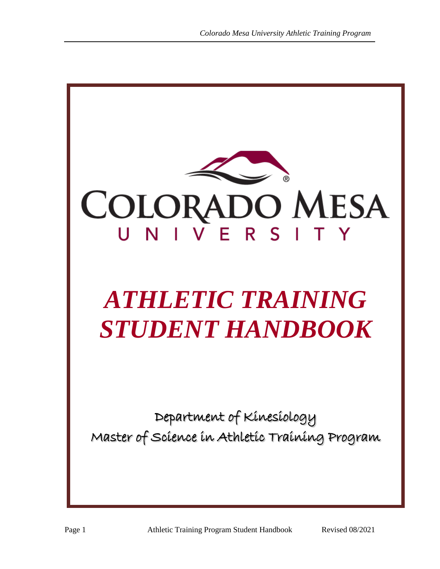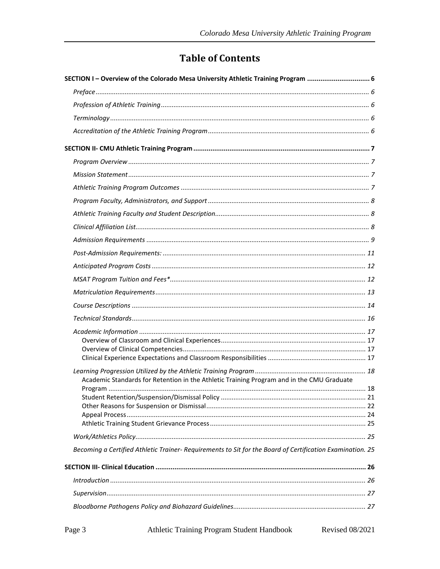# **Table of Contents**

| SECTION I- Overview of the Colorado Mesa University Athletic Training Program  6                          |  |
|-----------------------------------------------------------------------------------------------------------|--|
|                                                                                                           |  |
|                                                                                                           |  |
|                                                                                                           |  |
|                                                                                                           |  |
|                                                                                                           |  |
|                                                                                                           |  |
|                                                                                                           |  |
|                                                                                                           |  |
|                                                                                                           |  |
|                                                                                                           |  |
|                                                                                                           |  |
|                                                                                                           |  |
|                                                                                                           |  |
|                                                                                                           |  |
|                                                                                                           |  |
|                                                                                                           |  |
|                                                                                                           |  |
|                                                                                                           |  |
|                                                                                                           |  |
|                                                                                                           |  |
|                                                                                                           |  |
| Academic Standards for Retention in the Athletic Training Program and in the CMU Graduate                 |  |
|                                                                                                           |  |
|                                                                                                           |  |
|                                                                                                           |  |
|                                                                                                           |  |
|                                                                                                           |  |
| Becoming a Certified Athletic Trainer- Requirements to Sit for the Board of Certification Examination. 25 |  |
|                                                                                                           |  |
|                                                                                                           |  |
|                                                                                                           |  |
|                                                                                                           |  |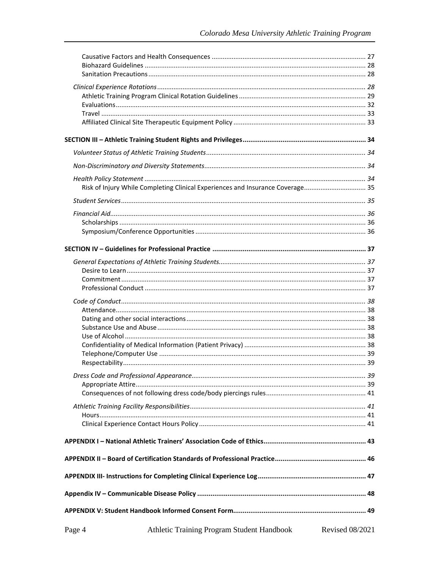|        | Risk of Injury While Completing Clinical Experiences and Insurance Coverage 35 |                        |
|--------|--------------------------------------------------------------------------------|------------------------|
|        |                                                                                |                        |
|        |                                                                                |                        |
|        |                                                                                |                        |
|        |                                                                                |                        |
|        |                                                                                |                        |
|        |                                                                                |                        |
|        |                                                                                |                        |
|        |                                                                                |                        |
|        |                                                                                |                        |
|        |                                                                                |                        |
|        |                                                                                |                        |
|        |                                                                                |                        |
|        |                                                                                |                        |
|        |                                                                                |                        |
|        |                                                                                |                        |
|        |                                                                                |                        |
|        |                                                                                |                        |
|        |                                                                                |                        |
|        |                                                                                |                        |
|        |                                                                                |                        |
|        |                                                                                |                        |
|        |                                                                                |                        |
|        |                                                                                |                        |
|        |                                                                                |                        |
|        |                                                                                |                        |
|        |                                                                                |                        |
|        |                                                                                |                        |
|        |                                                                                |                        |
|        |                                                                                |                        |
| Page 4 | Athletic Training Program Student Handbook                                     | <b>Revised 08/2021</b> |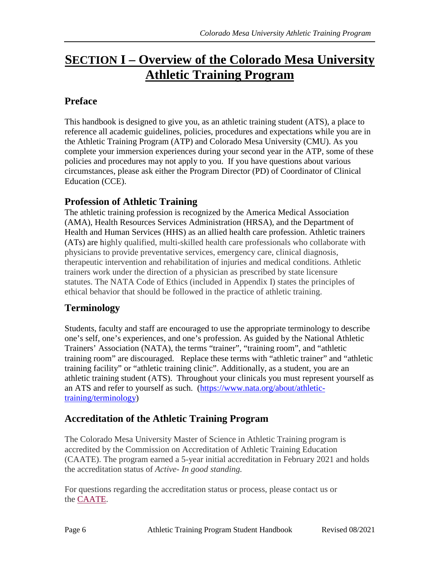# <span id="page-5-0"></span>**SECTION I – Overview of the Colorado Mesa University Athletic Training Program**

### <span id="page-5-1"></span>**Preface**

This handbook is designed to give you, as an athletic training student (ATS), a place to reference all academic guidelines, policies, procedures and expectations while you are in the Athletic Training Program (ATP) and Colorado Mesa University (CMU). As you complete your immersion experiences during your second year in the ATP, some of these policies and procedures may not apply to you. If you have questions about various circumstances, please ask either the Program Director (PD) of Coordinator of Clinical Education (CCE).

### <span id="page-5-2"></span>**Profession of Athletic Training**

The athletic training profession is recognized by the America Medical Association (AMA), Health Resources Services Administration (HRSA), and the Department of Health and Human Services (HHS) as an allied health care profession. Athletic trainers (ATs) are highly qualified, multi-skilled health care professionals who collaborate with physicians to provide preventative services, emergency care, clinical diagnosis, therapeutic intervention and rehabilitation of injuries and medical conditions. Athletic trainers work under the direction of a physician as prescribed by state licensure statutes. The NATA Code of Ethics (included in Appendix I) states the principles of ethical behavior that should be followed in the practice of athletic training.

## <span id="page-5-3"></span>**Terminology**

Students, faculty and staff are encouraged to use the appropriate terminology to describe one's self, one's experiences, and one's profession. As guided by the National Athletic Trainers' Association (NATA), the terms "trainer", "training room", and "athletic training room" are discouraged. Replace these terms with "athletic trainer" and "athletic training facility" or "athletic training clinic". Additionally, as a student, you are an athletic training student (ATS). Throughout your clinicals you must represent yourself as an ATS and refer to yourself as such. [\(https://www.nata.org/about/athletic](https://www.nata.org/about/athletic-training/terminology)[training/terminology\)](https://www.nata.org/about/athletic-training/terminology)

### <span id="page-5-4"></span>**Accreditation of the Athletic Training Program**

The Colorado Mesa University Master of Science in Athletic Training program is accredited by the Commission on Accreditation of Athletic Training Education (CAATE). The program earned a 5-year initial accreditation in February 2021 and holds the accreditation status of *Active- In good standing.*

For questions regarding the accreditation status or process, please contact us or the [CAATE.](https://caate.net/)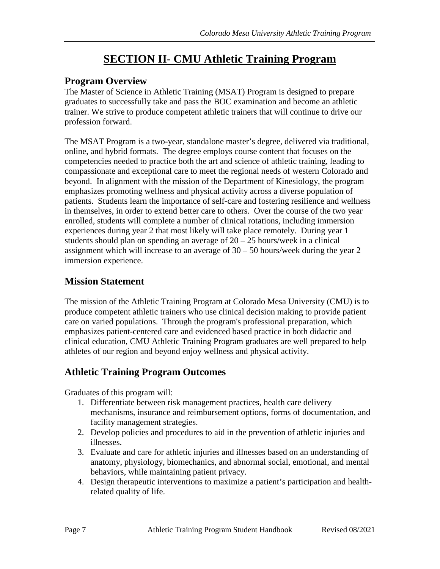# **SECTION II- CMU Athletic Training Program**

### <span id="page-6-1"></span><span id="page-6-0"></span>**Program Overview**

The Master of Science in Athletic Training (MSAT) Program is designed to prepare graduates to successfully take and pass the BOC examination and become an athletic trainer. We strive to produce competent athletic trainers that will continue to drive our profession forward.

The MSAT Program is a two-year, standalone master's degree, delivered via traditional, online, and hybrid formats. The degree employs course content that focuses on the competencies needed to practice both the art and science of athletic training, leading to compassionate and exceptional care to meet the regional needs of western Colorado and beyond. In alignment with the mission of the Department of Kinesiology, the program emphasizes promoting wellness and physical activity across a diverse population of patients. Students learn the importance of self-care and fostering resilience and wellness in themselves, in order to extend better care to others. Over the course of the two year enrolled, students will complete a number of clinical rotations, including immersion experiences during year 2 that most likely will take place remotely. During year 1 students should plan on spending an average of  $20 - 25$  hours/week in a clinical assignment which will increase to an average of 30 – 50 hours/week during the year 2 immersion experience.

## <span id="page-6-2"></span>**Mission Statement**

The mission of the Athletic Training Program at Colorado Mesa University (CMU) is to produce competent athletic trainers who use clinical decision making to provide patient care on varied populations. Through the program's professional preparation, which emphasizes patient-centered care and evidenced based practice in both didactic and clinical education, CMU Athletic Training Program graduates are well prepared to help athletes of our region and beyond enjoy wellness and physical activity.

### <span id="page-6-3"></span>**Athletic Training Program Outcomes**

Graduates of this program will:

- 1. Differentiate between risk management practices, health care delivery mechanisms, insurance and reimbursement options, forms of documentation, and facility management strategies.
- 2. Develop policies and procedures to aid in the prevention of athletic injuries and illnesses.
- 3. Evaluate and care for athletic injuries and illnesses based on an understanding of anatomy, physiology, biomechanics, and abnormal social, emotional, and mental behaviors, while maintaining patient privacy.
- 4. Design therapeutic interventions to maximize a patient's participation and healthrelated quality of life.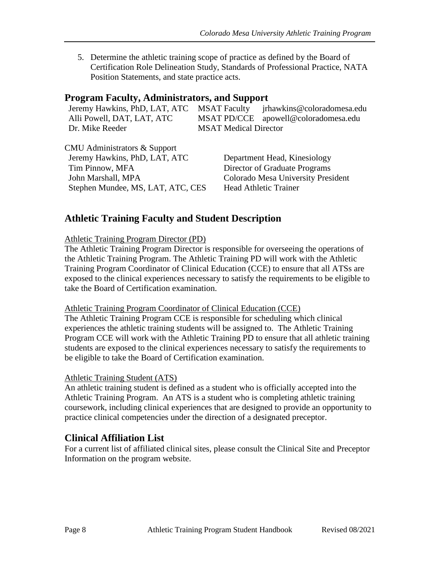5. Determine the athletic training scope of practice as defined by the Board of Certification Role Delineation Study, Standards of Professional Practice, NATA Position Statements, and state practice acts.

### <span id="page-7-0"></span>**Program Faculty, Administrators, and Support**

Jeremy Hawkins, PhD, LAT, ATC MSAT Faculty jrhawkins@coloradomesa.edu Alli Powell, DAT, LAT, ATC MSAT PD/CCE apowell@coloradomesa.edu Dr. Mike Reeder MSAT Medical Director

CMU Administrators & Support Jeremy Hawkins, PhD, LAT, ATC Department Head, Kinesiology Tim Pinnow, MFA Director of Graduate Programs John Marshall, MPA Colorado Mesa University President Stephen Mundee, MS, LAT, ATC, CES Head Athletic Trainer

### <span id="page-7-1"></span>**Athletic Training Faculty and Student Description**

#### Athletic Training Program Director (PD)

The Athletic Training Program Director is responsible for overseeing the operations of the Athletic Training Program. The Athletic Training PD will work with the Athletic Training Program Coordinator of Clinical Education (CCE) to ensure that all ATSs are exposed to the clinical experiences necessary to satisfy the requirements to be eligible to take the Board of Certification examination.

#### Athletic Training Program Coordinator of Clinical Education (CCE)

The Athletic Training Program CCE is responsible for scheduling which clinical experiences the athletic training students will be assigned to. The Athletic Training Program CCE will work with the Athletic Training PD to ensure that all athletic training students are exposed to the clinical experiences necessary to satisfy the requirements to be eligible to take the Board of Certification examination.

#### Athletic Training Student (ATS)

An athletic training student is defined as a student who is officially accepted into the Athletic Training Program. An ATS is a student who is completing athletic training coursework, including clinical experiences that are designed to provide an opportunity to practice clinical competencies under the direction of a designated preceptor.

### <span id="page-7-2"></span>**Clinical Affiliation List**

For a current list of affiliated clinical sites, please consult the Clinical Site and Preceptor Information on the program website.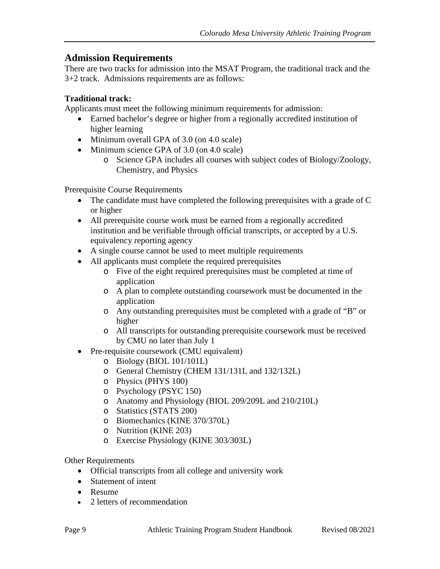### <span id="page-8-0"></span>**Admission Requirements**

There are two tracks for admission into the MSAT Program, the traditional track and the 3+2 track. Admissions requirements are as follows:

#### **Traditional track:**

Applicants must meet the following minimum requirements for admission:

- Earned bachelor's degree or higher from a regionally accredited institution of higher learning
- Minimum overall GPA of 3.0 (on 4.0 scale)
- Minimum science GPA of 3.0 (on 4.0 scale)
	- o Science GPA includes all courses with subject codes of Biology/Zoology, Chemistry, and Physics

Prerequisite Course Requirements

- The candidate must have completed the following prerequisites with a grade of C or higher
- All prerequisite course work must be earned from a regionally accredited institution and be verifiable through official transcripts, or accepted by a U.S. equivalency reporting agency
- A single course cannot be used to meet multiple requirements
- All applicants must complete the required prerequisites
	- o Five of the eight required prerequisites must be completed at time of application
	- o A plan to complete outstanding coursework must be documented in the application
	- o Any outstanding prerequisites must be completed with a grade of "B" or higher
	- o All transcripts for outstanding prerequisite coursework must be received by CMU no later than July 1
- Pre-requisite coursework (CMU equivalent)
	- o Biology (BIOL 101/101L)
	- o General Chemistry (CHEM 131/131L and 132/132L)
	- o Physics (PHYS 100)
	- o Psychology (PSYC 150)
	- o Anatomy and Physiology (BIOL 209/209L and 210/210L)
	- o Statistics (STATS 200)
	- o Biomechanics (KINE 370/370L)
	- o Nutrition (KINE 203)
	- o Exercise Physiology (KINE 303/303L)

Other Requirements

- Official transcripts from all college and university work
- Statement of intent
- Resume
- 2 letters of recommendation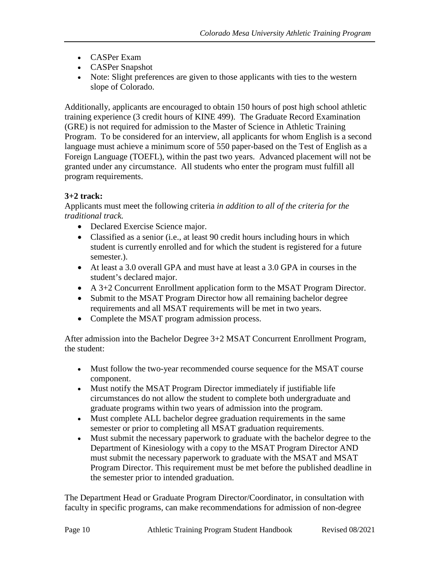- CASPer Exam
- CASPer Snapshot
- Note: Slight preferences are given to those applicants with ties to the western slope of Colorado.

Additionally, applicants are encouraged to obtain 150 hours of post high school athletic training experience (3 credit hours of KINE 499). The Graduate Record Examination (GRE) is not required for admission to the Master of Science in Athletic Training Program. To be considered for an interview, all applicants for whom English is a second language must achieve a minimum score of 550 paper-based on the Test of English as a Foreign Language (TOEFL), within the past two years. Advanced placement will not be granted under any circumstance. All students who enter the program must fulfill all program requirements.

#### **3+2 track:**

Applicants must meet the following criteria *in addition to all of the criteria for the traditional track.*

- Declared Exercise Science major.
- Classified as a senior (i.e., at least 90 credit hours including hours in which student is currently enrolled and for which the student is registered for a future semester.).
- At least a 3.0 overall GPA and must have at least a 3.0 GPA in courses in the student's declared major.
- A 3+2 Concurrent Enrollment application form to the MSAT Program Director.
- Submit to the MSAT Program Director how all remaining bachelor degree requirements and all MSAT requirements will be met in two years.
- Complete the MSAT program admission process.

After admission into the Bachelor Degree 3+2 MSAT Concurrent Enrollment Program, the student:

- Must follow the two-year recommended course sequence for the MSAT course component.
- Must notify the MSAT Program Director immediately if justifiable life circumstances do not allow the student to complete both undergraduate and graduate programs within two years of admission into the program.
- Must complete ALL bachelor degree graduation requirements in the same semester or prior to completing all MSAT graduation requirements.
- Must submit the necessary paperwork to graduate with the bachelor degree to the Department of Kinesiology with a copy to the MSAT Program Director AND must submit the necessary paperwork to graduate with the MSAT and MSAT Program Director. This requirement must be met before the published deadline in the semester prior to intended graduation.

The Department Head or Graduate Program Director/Coordinator, in consultation with faculty in specific programs, can make recommendations for admission of non-degree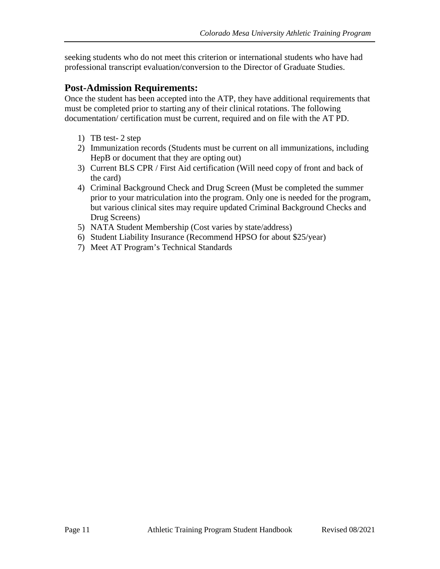seeking students who do not meet this criterion or international students who have had professional transcript evaluation/conversion to the Director of Graduate Studies.

### <span id="page-10-0"></span>**Post-Admission Requirements:**

Once the student has been accepted into the ATP, they have additional requirements that must be completed prior to starting any of their clinical rotations. The following documentation/ certification must be current, required and on file with the AT PD.

- 1) TB test- 2 step
- 2) Immunization records (Students must be current on all immunizations, including HepB or document that they are opting out)
- 3) Current BLS CPR / First Aid certification (Will need copy of front and back of the card)
- 4) Criminal Background Check and Drug Screen (Must be completed the summer prior to your matriculation into the program. Only one is needed for the program, but various clinical sites may require updated Criminal Background Checks and Drug Screens)
- 5) NATA Student Membership (Cost varies by state/address)
- 6) Student Liability Insurance (Recommend HPSO for about \$25/year)
- 7) Meet AT Program's Technical Standards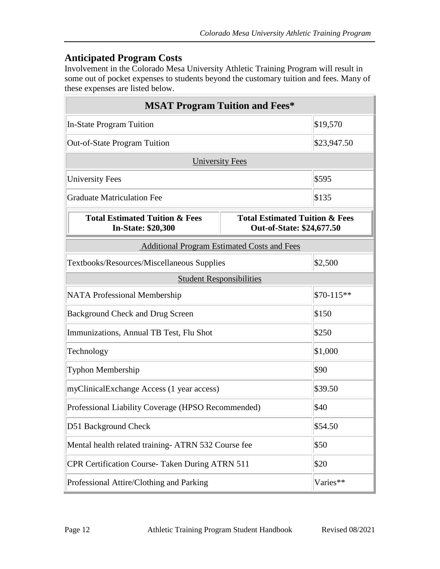### <span id="page-11-0"></span>**Anticipated Program Costs**

Involvement in the Colorado Mesa University Athletic Training Program will result in some out of pocket expenses to students beyond the customary tuition and fees. Many of these expenses are listed below.

<span id="page-11-1"></span>

| <b>MSAT Program Tuition and Fees*</b>                                                                                                            |                                                    |             |  |  |
|--------------------------------------------------------------------------------------------------------------------------------------------------|----------------------------------------------------|-------------|--|--|
| \$19,570<br><b>In-State Program Tuition</b>                                                                                                      |                                                    |             |  |  |
| <b>Out-of-State Program Tuition</b>                                                                                                              |                                                    | \$23,947.50 |  |  |
|                                                                                                                                                  | <b>University Fees</b>                             |             |  |  |
| <b>University Fees</b>                                                                                                                           |                                                    | \$595       |  |  |
| <b>Graduate Matriculation Fee</b>                                                                                                                |                                                    | \$135       |  |  |
| <b>Total Estimated Tuition &amp; Fees</b><br><b>Total Estimated Tuition &amp; Fees</b><br><b>In-State: \$20,300</b><br>Out-of-State: \$24,677.50 |                                                    |             |  |  |
|                                                                                                                                                  | <b>Additional Program Estimated Costs and Fees</b> |             |  |  |
| <b>Textbooks/Resources/Miscellaneous Supplies</b>                                                                                                |                                                    | \$2,500     |  |  |
| <b>Student Responsibilities</b>                                                                                                                  |                                                    |             |  |  |
| \$70-115**<br><b>NATA Professional Membership</b>                                                                                                |                                                    |             |  |  |
| <b>Background Check and Drug Screen</b>                                                                                                          | \$150                                              |             |  |  |
| Immunizations, Annual TB Test, Flu Shot                                                                                                          | \$250                                              |             |  |  |
| Technology                                                                                                                                       | \$1,000                                            |             |  |  |
| Typhon Membership                                                                                                                                | \$90                                               |             |  |  |
| myClinicalExchange Access (1 year access)                                                                                                        | \$39.50                                            |             |  |  |
| \$40<br>Professional Liability Coverage (HPSO Recommended)                                                                                       |                                                    |             |  |  |
| \$54.50<br>D51 Background Check                                                                                                                  |                                                    |             |  |  |
| Mental health related training- ATRN 532 Course fee<br>\$50                                                                                      |                                                    |             |  |  |
| \$20<br>CPR Certification Course- Taken During ATRN 511                                                                                          |                                                    |             |  |  |
| Varies**<br>Professional Attire/Clothing and Parking                                                                                             |                                                    |             |  |  |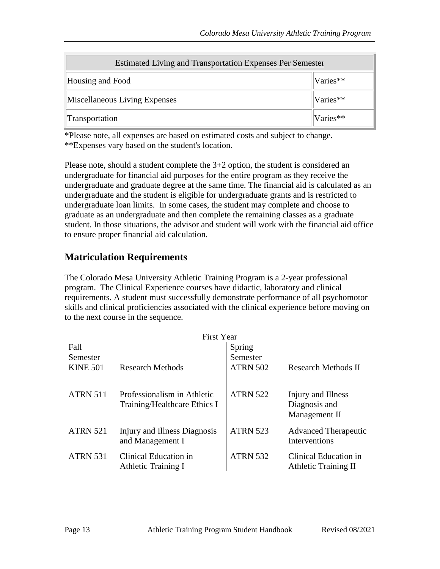| <b>Estimated Living and Transportation Expenses Per Semester</b> |          |  |
|------------------------------------------------------------------|----------|--|
| Housing and Food                                                 | Varies** |  |
| Miscellaneous Living Expenses                                    | Varies** |  |
| Varies**<br>Transportation                                       |          |  |

\*Please note, all expenses are based on estimated costs and subject to change. \*\*Expenses vary based on the student's location.

Please note, should a student complete the 3+2 option, the student is considered an undergraduate for financial aid purposes for the entire program as they receive the undergraduate and graduate degree at the same time. The financial aid is calculated as an undergraduate and the student is eligible for undergraduate grants and is restricted to undergraduate loan limits. In some cases, the student may complete and choose to graduate as an undergraduate and then complete the remaining classes as a graduate student. In those situations, the advisor and student will work with the financial aid office to ensure proper financial aid calculation.

### <span id="page-12-0"></span>**Matriculation Requirements**

The Colorado Mesa University Athletic Training Program is a 2-year professional program. The Clinical Experience courses have didactic, laboratory and clinical requirements. A student must successfully demonstrate performance of all psychomotor skills and clinical proficiencies associated with the clinical experience before moving on to the next course in the sequence.

| <b>First Year</b> |                                                             |                 |                                                      |
|-------------------|-------------------------------------------------------------|-----------------|------------------------------------------------------|
| Fall              |                                                             | Spring          |                                                      |
| Semester          |                                                             | Semester        |                                                      |
| <b>KINE 501</b>   | <b>Research Methods</b>                                     | <b>ATRN 502</b> | <b>Research Methods II</b>                           |
| <b>ATRN 511</b>   | Professionalism in Athletic<br>Training/Healthcare Ethics I | <b>ATRN 522</b> | Injury and Illness<br>Diagnosis and<br>Management II |
| <b>ATRN 521</b>   | Injury and Illness Diagnosis<br>and Management I            | <b>ATRN 523</b> | <b>Advanced Therapeutic</b><br>Interventions         |
| <b>ATRN 531</b>   | Clinical Education in<br><b>Athletic Training I</b>         | <b>ATRN 532</b> | Clinical Education in<br><b>Athletic Training II</b> |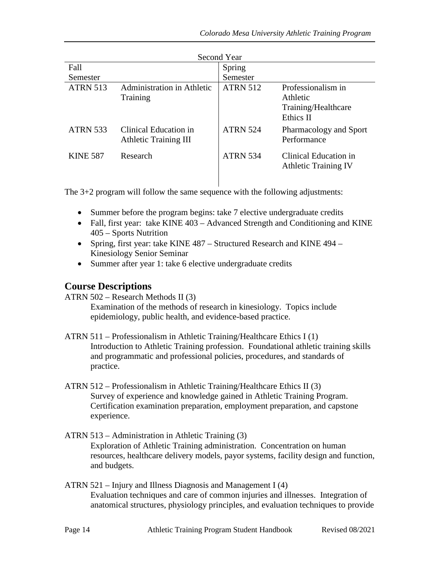| Second Year     |                                                       |                 |                                                                    |  |
|-----------------|-------------------------------------------------------|-----------------|--------------------------------------------------------------------|--|
| Fall            |                                                       | Spring          |                                                                    |  |
| Semester        |                                                       | Semester        |                                                                    |  |
| <b>ATRN 513</b> | Administration in Athletic<br>Training                | <b>ATRN 512</b> | Professionalism in<br>Athletic<br>Training/Healthcare<br>Ethics II |  |
| <b>ATRN 533</b> | Clinical Education in<br><b>Athletic Training III</b> | <b>ATRN 524</b> | Pharmacology and Sport<br>Performance                              |  |
| <b>KINE 587</b> | Research                                              | <b>ATRN 534</b> | Clinical Education in<br><b>Athletic Training IV</b>               |  |

The 3+2 program will follow the same sequence with the following adjustments:

- Summer before the program begins: take 7 elective undergraduate credits
- Fall, first year: take KINE 403 Advanced Strength and Conditioning and KINE 405 – Sports Nutrition
- Spring, first year: take KINE 487 Structured Research and KINE 494 Kinesiology Senior Seminar
- Summer after year 1: take 6 elective undergraduate credits

### <span id="page-13-0"></span>**Course Descriptions**

ATRN 502 – Research Methods II (3)

Examination of the methods of research in kinesiology. Topics include epidemiology, public health, and evidence-based practice.

- ATRN 511 Professionalism in Athletic Training/Healthcare Ethics I (1) Introduction to Athletic Training profession. Foundational athletic training skills and programmatic and professional policies, procedures, and standards of practice.
- ATRN 512 Professionalism in Athletic Training/Healthcare Ethics II (3) Survey of experience and knowledge gained in Athletic Training Program. Certification examination preparation, employment preparation, and capstone experience.
- ATRN 513 Administration in Athletic Training (3) Exploration of Athletic Training administration. Concentration on human resources, healthcare delivery models, payor systems, facility design and function, and budgets.
- ATRN 521 Injury and Illness Diagnosis and Management I (4) Evaluation techniques and care of common injuries and illnesses. Integration of anatomical structures, physiology principles, and evaluation techniques to provide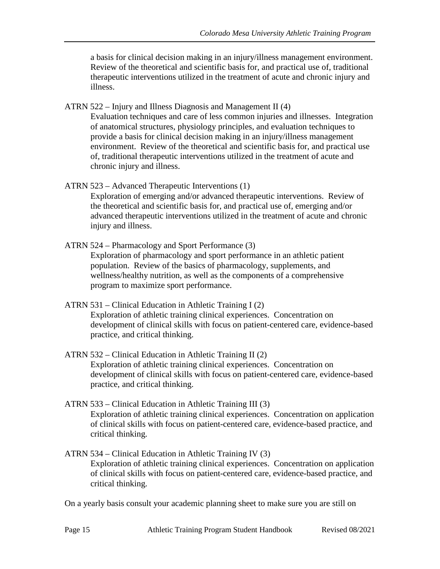a basis for clinical decision making in an injury/illness management environment. Review of the theoretical and scientific basis for, and practical use of, traditional therapeutic interventions utilized in the treatment of acute and chronic injury and illness.

ATRN 522 – Injury and Illness Diagnosis and Management II (4)

Evaluation techniques and care of less common injuries and illnesses. Integration of anatomical structures, physiology principles, and evaluation techniques to provide a basis for clinical decision making in an injury/illness management environment. Review of the theoretical and scientific basis for, and practical use of, traditional therapeutic interventions utilized in the treatment of acute and chronic injury and illness.

ATRN 523 – Advanced Therapeutic Interventions (1)

Exploration of emerging and/or advanced therapeutic interventions. Review of the theoretical and scientific basis for, and practical use of, emerging and/or advanced therapeutic interventions utilized in the treatment of acute and chronic injury and illness.

- ATRN 524 Pharmacology and Sport Performance (3) Exploration of pharmacology and sport performance in an athletic patient population. Review of the basics of pharmacology, supplements, and wellness/healthy nutrition, as well as the components of a comprehensive program to maximize sport performance.
- ATRN 531 Clinical Education in Athletic Training I (2) Exploration of athletic training clinical experiences. Concentration on development of clinical skills with focus on patient-centered care, evidence-based practice, and critical thinking.
- ATRN 532 Clinical Education in Athletic Training II (2) Exploration of athletic training clinical experiences. Concentration on development of clinical skills with focus on patient-centered care, evidence-based practice, and critical thinking.
- ATRN 533 Clinical Education in Athletic Training III (3) Exploration of athletic training clinical experiences. Concentration on application of clinical skills with focus on patient-centered care, evidence-based practice, and critical thinking.
- ATRN 534 Clinical Education in Athletic Training IV (3) Exploration of athletic training clinical experiences. Concentration on application of clinical skills with focus on patient-centered care, evidence-based practice, and critical thinking.

On a yearly basis consult your academic planning sheet to make sure you are still on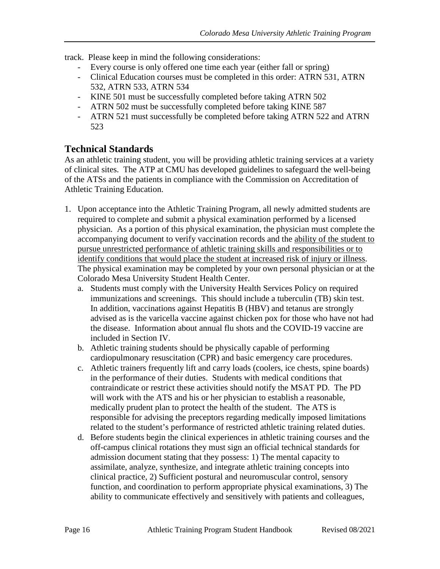track. Please keep in mind the following considerations:

- Every course is only offered one time each year (either fall or spring)
- Clinical Education courses must be completed in this order: ATRN 531, ATRN 532, ATRN 533, ATRN 534
- KINE 501 must be successfully completed before taking ATRN 502
- ATRN 502 must be successfully completed before taking KINE 587
- ATRN 521 must successfully be completed before taking ATRN 522 and ATRN 523

### <span id="page-15-0"></span>**Technical Standards**

As an athletic training student, you will be providing athletic training services at a variety of clinical sites. The ATP at CMU has developed guidelines to safeguard the well-being of the ATSs and the patients in compliance with the Commission on Accreditation of Athletic Training Education.

- 1. Upon acceptance into the Athletic Training Program, all newly admitted students are required to complete and submit a physical examination performed by a licensed physician. As a portion of this physical examination, the physician must complete the accompanying document to verify vaccination records and the ability of the student to pursue unrestricted performance of athletic training skills and responsibilities or to identify conditions that would place the student at increased risk of injury or illness. The physical examination may be completed by your own personal physician or at the Colorado Mesa University Student Health Center.
	- a. Students must comply with the University Health Services Policy on required immunizations and screenings. This should include a tuberculin (TB) skin test. In addition, vaccinations against Hepatitis B (HBV) and tetanus are strongly advised as is the varicella vaccine against chicken pox for those who have not had the disease. Information about annual flu shots and the COVID-19 vaccine are included in Section IV.
	- b. Athletic training students should be physically capable of performing cardiopulmonary resuscitation (CPR) and basic emergency care procedures.
	- c. Athletic trainers frequently lift and carry loads (coolers, ice chests, spine boards) in the performance of their duties. Students with medical conditions that contraindicate or restrict these activities should notify the MSAT PD. The PD will work with the ATS and his or her physician to establish a reasonable, medically prudent plan to protect the health of the student. The ATS is responsible for advising the preceptors regarding medically imposed limitations related to the student's performance of restricted athletic training related duties.
	- d. Before students begin the clinical experiences in athletic training courses and the off-campus clinical rotations they must sign an official technical standards for admission document stating that they possess: 1) The mental capacity to assimilate, analyze, synthesize, and integrate athletic training concepts into clinical practice, 2) Sufficient postural and neuromuscular control, sensory function, and coordination to perform appropriate physical examinations, 3) The ability to communicate effectively and sensitively with patients and colleagues,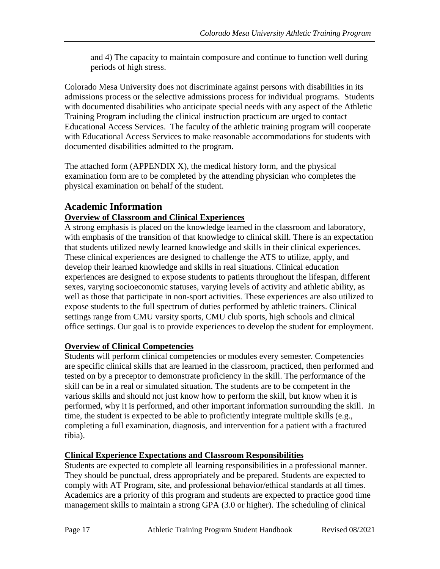and 4) The capacity to maintain composure and continue to function well during periods of high stress.

Colorado Mesa University does not discriminate against persons with disabilities in its admissions process or the selective admissions process for individual programs. Students with documented disabilities who anticipate special needs with any aspect of the Athletic Training Program including the clinical instruction practicum are urged to contact Educational Access Services. The faculty of the athletic training program will cooperate with Educational Access Services to make reasonable accommodations for students with documented disabilities admitted to the program.

The attached form (APPENDIX X), the medical history form, and the physical examination form are to be completed by the attending physician who completes the physical examination on behalf of the student.

### <span id="page-16-0"></span>**Academic Information**

### <span id="page-16-1"></span>**Overview of Classroom and Clinical Experiences**

A strong emphasis is placed on the knowledge learned in the classroom and laboratory, with emphasis of the transition of that knowledge to clinical skill. There is an expectation that students utilized newly learned knowledge and skills in their clinical experiences. These clinical experiences are designed to challenge the ATS to utilize, apply, and develop their learned knowledge and skills in real situations. Clinical education experiences are designed to expose students to patients throughout the lifespan, different sexes, varying socioeconomic statuses, varying levels of activity and athletic ability, as well as those that participate in non-sport activities. These experiences are also utilized to expose students to the full spectrum of duties performed by athletic trainers. Clinical settings range from CMU varsity sports, CMU club sports, high schools and clinical office settings. Our goal is to provide experiences to develop the student for employment.

### <span id="page-16-2"></span>**Overview of Clinical Competencies**

Students will perform clinical competencies or modules every semester. Competencies are specific clinical skills that are learned in the classroom, practiced, then performed and tested on by a preceptor to demonstrate proficiency in the skill. The performance of the skill can be in a real or simulated situation. The students are to be competent in the various skills and should not just know how to perform the skill, but know when it is performed, why it is performed, and other important information surrounding the skill. In time, the student is expected to be able to proficiently integrate multiple skills (e.g., completing a full examination, diagnosis, and intervention for a patient with a fractured tibia).

### <span id="page-16-3"></span>**Clinical Experience Expectations and Classroom Responsibilities**

Students are expected to complete all learning responsibilities in a professional manner. They should be punctual, dress appropriately and be prepared. Students are expected to comply with AT Program, site, and professional behavior/ethical standards at all times. Academics are a priority of this program and students are expected to practice good time management skills to maintain a strong GPA (3.0 or higher). The scheduling of clinical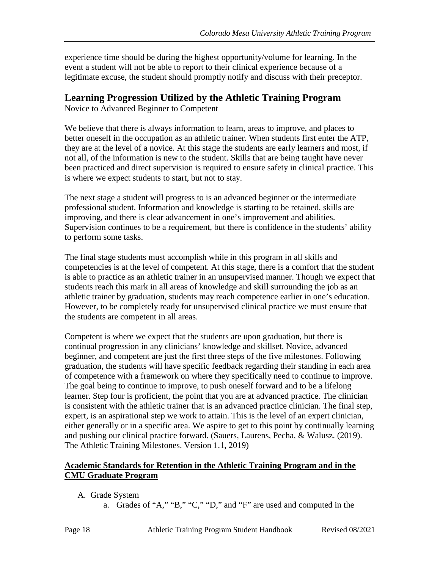experience time should be during the highest opportunity/volume for learning. In the event a student will not be able to report to their clinical experience because of a legitimate excuse, the student should promptly notify and discuss with their preceptor.

### <span id="page-17-0"></span>**Learning Progression Utilized by the Athletic Training Program**

Novice to Advanced Beginner to Competent

We believe that there is always information to learn, areas to improve, and places to better oneself in the occupation as an athletic trainer. When students first enter the ATP, they are at the level of a novice. At this stage the students are early learners and most, if not all, of the information is new to the student. Skills that are being taught have never been practiced and direct supervision is required to ensure safety in clinical practice. This is where we expect students to start, but not to stay.

The next stage a student will progress to is an advanced beginner or the intermediate professional student. Information and knowledge is starting to be retained, skills are improving, and there is clear advancement in one's improvement and abilities. Supervision continues to be a requirement, but there is confidence in the students' ability to perform some tasks.

The final stage students must accomplish while in this program in all skills and competencies is at the level of competent. At this stage, there is a comfort that the student is able to practice as an athletic trainer in an unsupervised manner. Though we expect that students reach this mark in all areas of knowledge and skill surrounding the job as an athletic trainer by graduation, students may reach competence earlier in one's education. However, to be completely ready for unsupervised clinical practice we must ensure that the students are competent in all areas.

Competent is where we expect that the students are upon graduation, but there is continual progression in any clinicians' knowledge and skillset. Novice, advanced beginner, and competent are just the first three steps of the five milestones. Following graduation, the students will have specific feedback regarding their standing in each area of competence with a framework on where they specifically need to continue to improve. The goal being to continue to improve, to push oneself forward and to be a lifelong learner. Step four is proficient, the point that you are at advanced practice. The clinician is consistent with the athletic trainer that is an advanced practice clinician. The final step, expert, is an aspirational step we work to attain. This is the level of an expert clinician, either generally or in a specific area. We aspire to get to this point by continually learning and pushing our clinical practice forward. (Sauers, Laurens, Pecha, & Walusz. (2019). The Athletic Training Milestones. Version 1.1, 2019)

#### <span id="page-17-1"></span>**Academic Standards for Retention in the Athletic Training Program and in the CMU Graduate Program**

- A. Grade System
	- a. Grades of "A," "B," "C," "D," and "F" are used and computed in the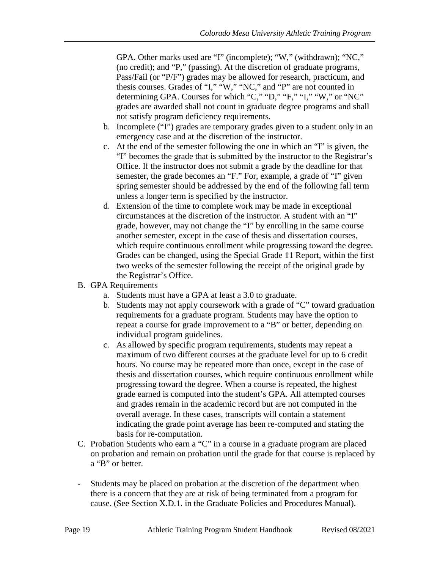GPA. Other marks used are "I" (incomplete); "W," (withdrawn); "NC," (no credit); and "P," (passing). At the discretion of graduate programs, Pass/Fail (or "P/F") grades may be allowed for research, practicum, and thesis courses. Grades of "I," "W," "NC," and "P" are not counted in determining GPA. Courses for which "C," "D," "F," "I," "W," or "NC" grades are awarded shall not count in graduate degree programs and shall not satisfy program deficiency requirements.

- b. Incomplete ("I") grades are temporary grades given to a student only in an emergency case and at the discretion of the instructor.
- c. At the end of the semester following the one in which an "I" is given, the "I" becomes the grade that is submitted by the instructor to the Registrar's Office. If the instructor does not submit a grade by the deadline for that semester, the grade becomes an "F." For, example, a grade of "I" given spring semester should be addressed by the end of the following fall term unless a longer term is specified by the instructor.
- d. Extension of the time to complete work may be made in exceptional circumstances at the discretion of the instructor. A student with an "I" grade, however, may not change the "I" by enrolling in the same course another semester, except in the case of thesis and dissertation courses, which require continuous enrollment while progressing toward the degree. Grades can be changed, using the Special Grade 11 Report, within the first two weeks of the semester following the receipt of the original grade by the Registrar's Office.
- B. GPA Requirements
	- a. Students must have a GPA at least a 3.0 to graduate.
	- b. Students may not apply coursework with a grade of "C" toward graduation requirements for a graduate program. Students may have the option to repeat a course for grade improvement to a "B" or better, depending on individual program guidelines.
	- c. As allowed by specific program requirements, students may repeat a maximum of two different courses at the graduate level for up to 6 credit hours. No course may be repeated more than once, except in the case of thesis and dissertation courses, which require continuous enrollment while progressing toward the degree. When a course is repeated, the highest grade earned is computed into the student's GPA. All attempted courses and grades remain in the academic record but are not computed in the overall average. In these cases, transcripts will contain a statement indicating the grade point average has been re-computed and stating the basis for re-computation.
- C. Probation Students who earn a "C" in a course in a graduate program are placed on probation and remain on probation until the grade for that course is replaced by a "B" or better.
- Students may be placed on probation at the discretion of the department when there is a concern that they are at risk of being terminated from a program for cause. (See Section X.D.1. in the Graduate Policies and Procedures Manual).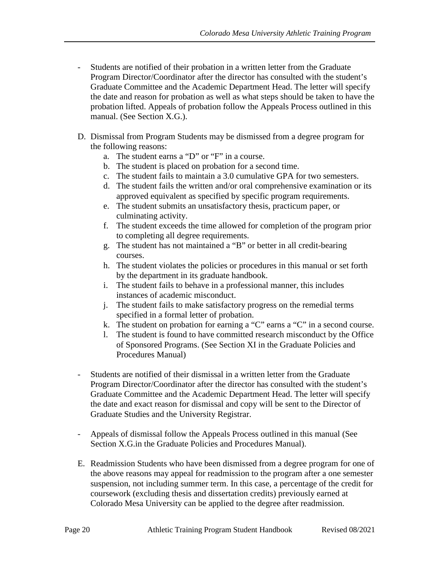- Students are notified of their probation in a written letter from the Graduate Program Director/Coordinator after the director has consulted with the student's Graduate Committee and the Academic Department Head. The letter will specify the date and reason for probation as well as what steps should be taken to have the probation lifted. Appeals of probation follow the Appeals Process outlined in this manual. (See Section X.G.).
- D. Dismissal from Program Students may be dismissed from a degree program for the following reasons:
	- a. The student earns a "D" or "F" in a course.
	- b. The student is placed on probation for a second time.
	- c. The student fails to maintain a 3.0 cumulative GPA for two semesters.
	- d. The student fails the written and/or oral comprehensive examination or its approved equivalent as specified by specific program requirements.
	- e. The student submits an unsatisfactory thesis, practicum paper, or culminating activity.
	- f. The student exceeds the time allowed for completion of the program prior to completing all degree requirements.
	- g. The student has not maintained a "B" or better in all credit-bearing courses.
	- h. The student violates the policies or procedures in this manual or set forth by the department in its graduate handbook.
	- i. The student fails to behave in a professional manner, this includes instances of academic misconduct.
	- j. The student fails to make satisfactory progress on the remedial terms specified in a formal letter of probation.
	- k. The student on probation for earning a "C" earns a "C" in a second course.
	- l. The student is found to have committed research misconduct by the Office of Sponsored Programs. (See Section XI in the Graduate Policies and Procedures Manual)
- Students are notified of their dismissal in a written letter from the Graduate Program Director/Coordinator after the director has consulted with the student's Graduate Committee and the Academic Department Head. The letter will specify the date and exact reason for dismissal and copy will be sent to the Director of Graduate Studies and the University Registrar.
- Appeals of dismissal follow the Appeals Process outlined in this manual (See Section X.G.in the Graduate Policies and Procedures Manual).
- E. Readmission Students who have been dismissed from a degree program for one of the above reasons may appeal for readmission to the program after a one semester suspension, not including summer term. In this case, a percentage of the credit for coursework (excluding thesis and dissertation credits) previously earned at Colorado Mesa University can be applied to the degree after readmission.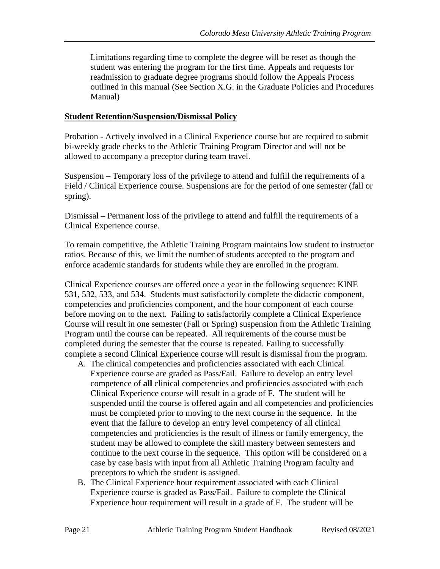Limitations regarding time to complete the degree will be reset as though the student was entering the program for the first time. Appeals and requests for readmission to graduate degree programs should follow the Appeals Process outlined in this manual (See Section X.G. in the Graduate Policies and Procedures Manual)

#### <span id="page-20-0"></span>**Student Retention/Suspension/Dismissal Policy**

Probation - Actively involved in a Clinical Experience course but are required to submit bi-weekly grade checks to the Athletic Training Program Director and will not be allowed to accompany a preceptor during team travel.

Suspension – Temporary loss of the privilege to attend and fulfill the requirements of a Field / Clinical Experience course. Suspensions are for the period of one semester (fall or spring).

Dismissal – Permanent loss of the privilege to attend and fulfill the requirements of a Clinical Experience course.

To remain competitive, the Athletic Training Program maintains low student to instructor ratios. Because of this, we limit the number of students accepted to the program and enforce academic standards for students while they are enrolled in the program.

Clinical Experience courses are offered once a year in the following sequence: KINE 531, 532, 533, and 534. Students must satisfactorily complete the didactic component, competencies and proficiencies component, and the hour component of each course before moving on to the next. Failing to satisfactorily complete a Clinical Experience Course will result in one semester (Fall or Spring) suspension from the Athletic Training Program until the course can be repeated. All requirements of the course must be completed during the semester that the course is repeated. Failing to successfully complete a second Clinical Experience course will result is dismissal from the program.

- A. The clinical competencies and proficiencies associated with each Clinical Experience course are graded as Pass/Fail. Failure to develop an entry level competence of **all** clinical competencies and proficiencies associated with each Clinical Experience course will result in a grade of F. The student will be suspended until the course is offered again and all competencies and proficiencies must be completed prior to moving to the next course in the sequence. In the event that the failure to develop an entry level competency of all clinical competencies and proficiencies is the result of illness or family emergency, the student may be allowed to complete the skill mastery between semesters and continue to the next course in the sequence. This option will be considered on a case by case basis with input from all Athletic Training Program faculty and preceptors to which the student is assigned.
- B. The Clinical Experience hour requirement associated with each Clinical Experience course is graded as Pass/Fail. Failure to complete the Clinical Experience hour requirement will result in a grade of F. The student will be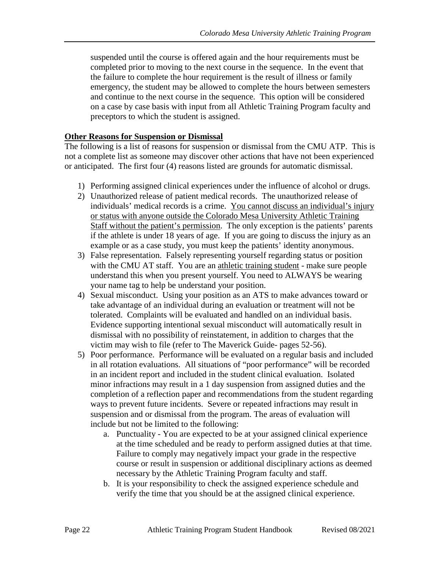suspended until the course is offered again and the hour requirements must be completed prior to moving to the next course in the sequence. In the event that the failure to complete the hour requirement is the result of illness or family emergency, the student may be allowed to complete the hours between semesters and continue to the next course in the sequence. This option will be considered on a case by case basis with input from all Athletic Training Program faculty and preceptors to which the student is assigned.

#### <span id="page-21-0"></span>**Other Reasons for Suspension or Dismissal**

The following is a list of reasons for suspension or dismissal from the CMU ATP. This is not a complete list as someone may discover other actions that have not been experienced or anticipated. The first four (4) reasons listed are grounds for automatic dismissal.

- 1) Performing assigned clinical experiences under the influence of alcohol or drugs.
- 2) Unauthorized release of patient medical records. The unauthorized release of individuals' medical records is a crime. You cannot discuss an individual's injury or status with anyone outside the Colorado Mesa University Athletic Training Staff without the patient's permission. The only exception is the patients' parents if the athlete is under 18 years of age. If you are going to discuss the injury as an example or as a case study, you must keep the patients' identity anonymous.
- 3) False representation. Falsely representing yourself regarding status or position with the CMU AT staff. You are an athletic training student - make sure people understand this when you present yourself. You need to ALWAYS be wearing your name tag to help be understand your position.
- 4) Sexual misconduct. Using your position as an ATS to make advances toward or take advantage of an individual during an evaluation or treatment will not be tolerated. Complaints will be evaluated and handled on an individual basis. Evidence supporting intentional sexual misconduct will automatically result in dismissal with no possibility of reinstatement, in addition to charges that the victim may wish to file (refer to The Maverick Guide- pages 52-56).
- 5) Poor performance. Performance will be evaluated on a regular basis and included in all rotation evaluations. All situations of "poor performance" will be recorded in an incident report and included in the student clinical evaluation. Isolated minor infractions may result in a 1 day suspension from assigned duties and the completion of a reflection paper and recommendations from the student regarding ways to prevent future incidents. Severe or repeated infractions may result in suspension and or dismissal from the program. The areas of evaluation will include but not be limited to the following:
	- a. Punctuality You are expected to be at your assigned clinical experience at the time scheduled and be ready to perform assigned duties at that time. Failure to comply may negatively impact your grade in the respective course or result in suspension or additional disciplinary actions as deemed necessary by the Athletic Training Program faculty and staff.
	- b. It is your responsibility to check the assigned experience schedule and verify the time that you should be at the assigned clinical experience.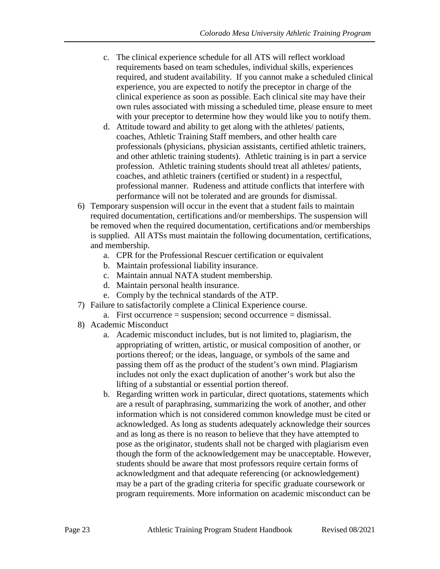- c. The clinical experience schedule for all ATS will reflect workload requirements based on team schedules, individual skills, experiences required, and student availability. If you cannot make a scheduled clinical experience, you are expected to notify the preceptor in charge of the clinical experience as soon as possible. Each clinical site may have their own rules associated with missing a scheduled time, please ensure to meet with your preceptor to determine how they would like you to notify them.
- d. Attitude toward and ability to get along with the athletes/ patients, coaches, Athletic Training Staff members, and other health care professionals (physicians, physician assistants, certified athletic trainers, and other athletic training students). Athletic training is in part a service profession. Athletic training students should treat all athletes/ patients, coaches, and athletic trainers (certified or student) in a respectful, professional manner. Rudeness and attitude conflicts that interfere with performance will not be tolerated and are grounds for dismissal.
- 6) Temporary suspension will occur in the event that a student fails to maintain required documentation, certifications and/or memberships. The suspension will be removed when the required documentation, certifications and/or memberships is supplied. All ATSs must maintain the following documentation, certifications, and membership.
	- a. CPR for the Professional Rescuer certification or equivalent
	- b. Maintain professional liability insurance.
	- c. Maintain annual NATA student membership.
	- d. Maintain personal health insurance.
	- e. Comply by the technical standards of the ATP.
- 7) Failure to satisfactorily complete a Clinical Experience course.
	- a. First occurrence = suspension; second occurrence = dismissal.
- 8) Academic Misconduct
	- a. Academic misconduct includes, but is not limited to, plagiarism, the appropriating of written, artistic, or musical composition of another, or portions thereof; or the ideas, language, or symbols of the same and passing them off as the product of the student's own mind. Plagiarism includes not only the exact duplication of another's work but also the lifting of a substantial or essential portion thereof.
	- b. Regarding written work in particular, direct quotations, statements which are a result of paraphrasing, summarizing the work of another, and other information which is not considered common knowledge must be cited or acknowledged. As long as students adequately acknowledge their sources and as long as there is no reason to believe that they have attempted to pose as the originator, students shall not be charged with plagiarism even though the form of the acknowledgement may be unacceptable. However, students should be aware that most professors require certain forms of acknowledgment and that adequate referencing (or acknowledgement) may be a part of the grading criteria for specific graduate coursework or program requirements. More information on academic misconduct can be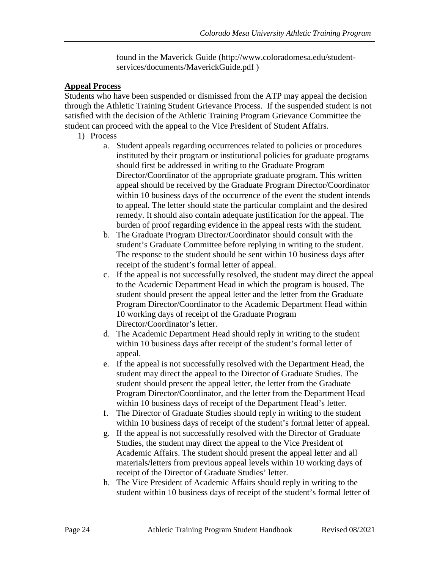found in the Maverick Guide (http://www.coloradomesa.edu/studentservices/documents/MaverickGuide.pdf )

#### <span id="page-23-0"></span>**Appeal Process**

Students who have been suspended or dismissed from the ATP may appeal the decision through the Athletic Training Student Grievance Process. If the suspended student is not satisfied with the decision of the Athletic Training Program Grievance Committee the student can proceed with the appeal to the Vice President of Student Affairs.

- 1) Process
	- a. Student appeals regarding occurrences related to policies or procedures instituted by their program or institutional policies for graduate programs should first be addressed in writing to the Graduate Program Director/Coordinator of the appropriate graduate program. This written appeal should be received by the Graduate Program Director/Coordinator within 10 business days of the occurrence of the event the student intends to appeal. The letter should state the particular complaint and the desired remedy. It should also contain adequate justification for the appeal. The burden of proof regarding evidence in the appeal rests with the student.
	- b. The Graduate Program Director/Coordinator should consult with the student's Graduate Committee before replying in writing to the student. The response to the student should be sent within 10 business days after receipt of the student's formal letter of appeal.
	- c. If the appeal is not successfully resolved, the student may direct the appeal to the Academic Department Head in which the program is housed. The student should present the appeal letter and the letter from the Graduate Program Director/Coordinator to the Academic Department Head within 10 working days of receipt of the Graduate Program Director/Coordinator's letter.
	- d. The Academic Department Head should reply in writing to the student within 10 business days after receipt of the student's formal letter of appeal.
	- e. If the appeal is not successfully resolved with the Department Head, the student may direct the appeal to the Director of Graduate Studies. The student should present the appeal letter, the letter from the Graduate Program Director/Coordinator, and the letter from the Department Head within 10 business days of receipt of the Department Head's letter.
	- f. The Director of Graduate Studies should reply in writing to the student within 10 business days of receipt of the student's formal letter of appeal.
	- g. If the appeal is not successfully resolved with the Director of Graduate Studies, the student may direct the appeal to the Vice President of Academic Affairs. The student should present the appeal letter and all materials/letters from previous appeal levels within 10 working days of receipt of the Director of Graduate Studies' letter.
	- h. The Vice President of Academic Affairs should reply in writing to the student within 10 business days of receipt of the student's formal letter of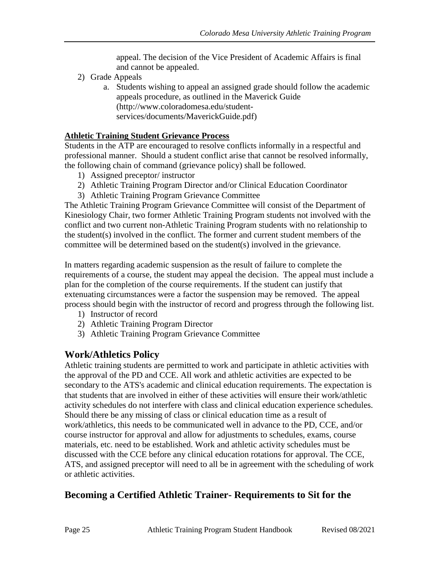appeal. The decision of the Vice President of Academic Affairs is final and cannot be appealed.

- 2) Grade Appeals
	- a. Students wishing to appeal an assigned grade should follow the academic appeals procedure, as outlined in the Maverick Guide (http://www.coloradomesa.edu/studentservices/documents/MaverickGuide.pdf)

#### <span id="page-24-0"></span>**Athletic Training Student Grievance Process**

Students in the ATP are encouraged to resolve conflicts informally in a respectful and professional manner. Should a student conflict arise that cannot be resolved informally, the following chain of command (grievance policy) shall be followed.

- 1) Assigned preceptor/ instructor
- 2) Athletic Training Program Director and/or Clinical Education Coordinator
- 3) Athletic Training Program Grievance Committee

The Athletic Training Program Grievance Committee will consist of the Department of Kinesiology Chair, two former Athletic Training Program students not involved with the conflict and two current non-Athletic Training Program students with no relationship to the student(s) involved in the conflict. The former and current student members of the committee will be determined based on the student(s) involved in the grievance.

In matters regarding academic suspension as the result of failure to complete the requirements of a course, the student may appeal the decision. The appeal must include a plan for the completion of the course requirements. If the student can justify that extenuating circumstances were a factor the suspension may be removed. The appeal process should begin with the instructor of record and progress through the following list.

- 1) Instructor of record
- 2) Athletic Training Program Director
- 3) Athletic Training Program Grievance Committee

### <span id="page-24-1"></span>**Work/Athletics Policy**

Athletic training students are permitted to work and participate in athletic activities with the approval of the PD and CCE. All work and athletic activities are expected to be secondary to the ATS's academic and clinical education requirements. The expectation is that students that are involved in either of these activities will ensure their work/athletic activity schedules do not interfere with class and clinical education experience schedules. Should there be any missing of class or clinical education time as a result of work/athletics, this needs to be communicated well in advance to the PD, CCE, and/or course instructor for approval and allow for adjustments to schedules, exams, course materials, etc. need to be established. Work and athletic activity schedules must be discussed with the CCE before any clinical education rotations for approval. The CCE, ATS, and assigned preceptor will need to all be in agreement with the scheduling of work or athletic activities.

### <span id="page-24-2"></span>**Becoming a Certified Athletic Trainer- Requirements to Sit for the**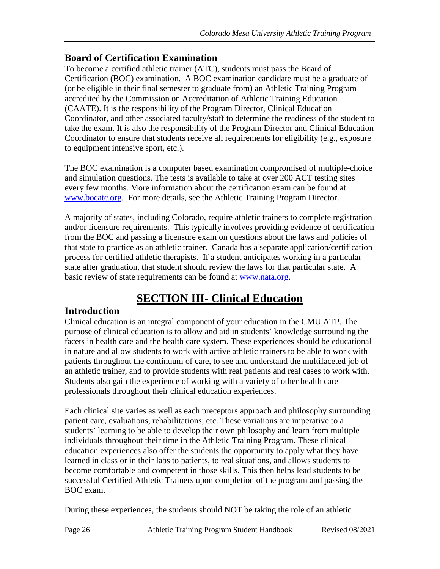### **Board of Certification Examination**

To become a certified athletic trainer (ATC), students must pass the Board of Certification (BOC) examination. A BOC examination candidate must be a graduate of (or be eligible in their final semester to graduate from) an Athletic Training Program accredited by the Commission on Accreditation of Athletic Training Education (CAATE). It is the responsibility of the Program Director, Clinical Education Coordinator, and other associated faculty/staff to determine the readiness of the student to take the exam. It is also the responsibility of the Program Director and Clinical Education Coordinator to ensure that students receive all requirements for eligibility (e.g., exposure to equipment intensive sport, etc.).

The BOC examination is a computer based examination compromised of multiple-choice and simulation questions. The tests is available to take at over 200 ACT testing sites every few months. More information about the certification exam can be found at [www.bocatc.org.](http://www.bocatc.org/) For more details, see the Athletic Training Program Director.

A majority of states, including Colorado, require athletic trainers to complete registration and/or licensure requirements. This typically involves providing evidence of certification from the BOC and passing a licensure exam on questions about the laws and policies of that state to practice as an athletic trainer. Canada has a separate application/certification process for certified athletic therapists. If a student anticipates working in a particular state after graduation, that student should review the laws for that particular state. A basic review of state requirements can be found at [www.nata.org.](http://www.nata.org/)

# **SECTION III- Clinical Education**

### <span id="page-25-1"></span><span id="page-25-0"></span>**Introduction**

Clinical education is an integral component of your education in the CMU ATP. The purpose of clinical education is to allow and aid in students' knowledge surrounding the facets in health care and the health care system. These experiences should be educational in nature and allow students to work with active athletic trainers to be able to work with patients throughout the continuum of care, to see and understand the multifaceted job of an athletic trainer, and to provide students with real patients and real cases to work with. Students also gain the experience of working with a variety of other health care professionals throughout their clinical education experiences.

Each clinical site varies as well as each preceptors approach and philosophy surrounding patient care, evaluations, rehabilitations, etc. These variations are imperative to a students' learning to be able to develop their own philosophy and learn from multiple individuals throughout their time in the Athletic Training Program. These clinical education experiences also offer the students the opportunity to apply what they have learned in class or in their labs to patients, to real situations, and allows students to become comfortable and competent in those skills. This then helps lead students to be successful Certified Athletic Trainers upon completion of the program and passing the BOC exam.

During these experiences, the students should NOT be taking the role of an athletic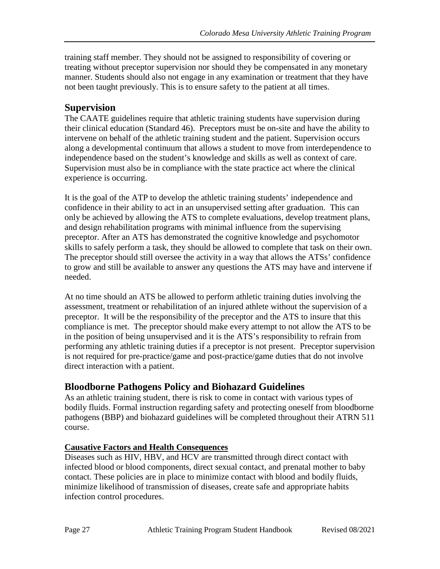training staff member. They should not be assigned to responsibility of covering or treating without preceptor supervision nor should they be compensated in any monetary manner. Students should also not engage in any examination or treatment that they have not been taught previously. This is to ensure safety to the patient at all times.

### <span id="page-26-0"></span>**Supervision**

The CAATE guidelines require that athletic training students have supervision during their clinical education (Standard 46). Preceptors must be on-site and have the ability to intervene on behalf of the athletic training student and the patient. Supervision occurs along a developmental continuum that allows a student to move from interdependence to independence based on the student's knowledge and skills as well as context of care. Supervision must also be in compliance with the state practice act where the clinical experience is occurring.

It is the goal of the ATP to develop the athletic training students' independence and confidence in their ability to act in an unsupervised setting after graduation. This can only be achieved by allowing the ATS to complete evaluations, develop treatment plans, and design rehabilitation programs with minimal influence from the supervising preceptor. After an ATS has demonstrated the cognitive knowledge and psychomotor skills to safely perform a task, they should be allowed to complete that task on their own. The preceptor should still oversee the activity in a way that allows the ATSs' confidence to grow and still be available to answer any questions the ATS may have and intervene if needed.

At no time should an ATS be allowed to perform athletic training duties involving the assessment, treatment or rehabilitation of an injured athlete without the supervision of a preceptor. It will be the responsibility of the preceptor and the ATS to insure that this compliance is met. The preceptor should make every attempt to not allow the ATS to be in the position of being unsupervised and it is the ATS's responsibility to refrain from performing any athletic training duties if a preceptor is not present. Preceptor supervision is not required for pre-practice/game and post-practice/game duties that do not involve direct interaction with a patient.

### <span id="page-26-1"></span>**Bloodborne Pathogens Policy and Biohazard Guidelines**

As an athletic training student, there is risk to come in contact with various types of bodily fluids. Formal instruction regarding safety and protecting oneself from bloodborne pathogens (BBP) and biohazard guidelines will be completed throughout their ATRN 511 course.

### <span id="page-26-2"></span>**Causative Factors and Health Consequences**

Diseases such as HIV, HBV, and HCV are transmitted through direct contact with infected blood or blood components, direct sexual contact, and prenatal mother to baby contact. These policies are in place to minimize contact with blood and bodily fluids, minimize likelihood of transmission of diseases, create safe and appropriate habits infection control procedures.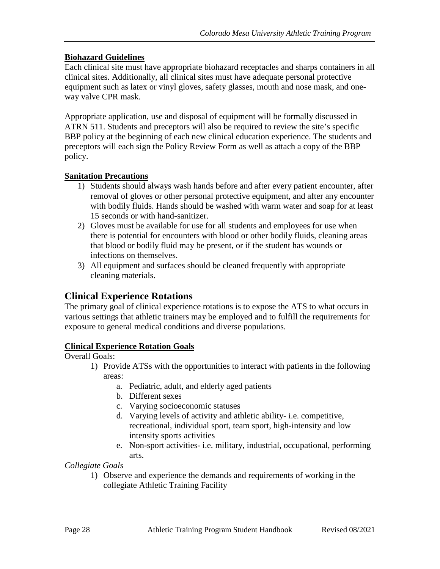#### <span id="page-27-0"></span>**Biohazard Guidelines**

Each clinical site must have appropriate biohazard receptacles and sharps containers in all clinical sites. Additionally, all clinical sites must have adequate personal protective equipment such as latex or vinyl gloves, safety glasses, mouth and nose mask, and oneway valve CPR mask.

Appropriate application, use and disposal of equipment will be formally discussed in ATRN 511. Students and preceptors will also be required to review the site's specific BBP policy at the beginning of each new clinical education experience. The students and preceptors will each sign the Policy Review Form as well as attach a copy of the BBP policy.

#### <span id="page-27-1"></span>**Sanitation Precautions**

- 1) Students should always wash hands before and after every patient encounter, after removal of gloves or other personal protective equipment, and after any encounter with bodily fluids. Hands should be washed with warm water and soap for at least 15 seconds or with hand-sanitizer.
- 2) Gloves must be available for use for all students and employees for use when there is potential for encounters with blood or other bodily fluids, cleaning areas that blood or bodily fluid may be present, or if the student has wounds or infections on themselves.
- 3) All equipment and surfaces should be cleaned frequently with appropriate cleaning materials.

### <span id="page-27-2"></span>**Clinical Experience Rotations**

The primary goal of clinical experience rotations is to expose the ATS to what occurs in various settings that athletic trainers may be employed and to fulfill the requirements for exposure to general medical conditions and diverse populations.

#### **Clinical Experience Rotation Goals**

Overall Goals:

- 1) Provide ATSs with the opportunities to interact with patients in the following areas:
	- a. Pediatric, adult, and elderly aged patients
	- b. Different sexes
	- c. Varying socioeconomic statuses
	- d. Varying levels of activity and athletic ability- i.e. competitive, recreational, individual sport, team sport, high-intensity and low intensity sports activities
	- e. Non-sport activities- i.e. military, industrial, occupational, performing arts.

*Collegiate Goals*

1) Observe and experience the demands and requirements of working in the collegiate Athletic Training Facility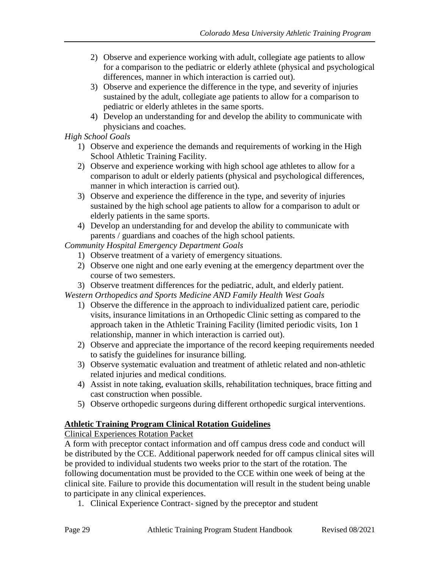- 2) Observe and experience working with adult, collegiate age patients to allow for a comparison to the pediatric or elderly athlete (physical and psychological differences, manner in which interaction is carried out).
- 3) Observe and experience the difference in the type, and severity of injuries sustained by the adult, collegiate age patients to allow for a comparison to pediatric or elderly athletes in the same sports.
- 4) Develop an understanding for and develop the ability to communicate with physicians and coaches.

#### *High School Goals*

- 1) Observe and experience the demands and requirements of working in the High School Athletic Training Facility.
- 2) Observe and experience working with high school age athletes to allow for a comparison to adult or elderly patients (physical and psychological differences, manner in which interaction is carried out).
- 3) Observe and experience the difference in the type, and severity of injuries sustained by the high school age patients to allow for a comparison to adult or elderly patients in the same sports.
- 4) Develop an understanding for and develop the ability to communicate with parents / guardians and coaches of the high school patients.

*Community Hospital Emergency Department Goals*

- 1) Observe treatment of a variety of emergency situations.
- 2) Observe one night and one early evening at the emergency department over the course of two semesters.
- 3) Observe treatment differences for the pediatric, adult, and elderly patient.

*Western Orthopedics and Sports Medicine AND Family Health West Goals*

- 1) Observe the difference in the approach to individualized patient care, periodic visits, insurance limitations in an Orthopedic Clinic setting as compared to the approach taken in the Athletic Training Facility (limited periodic visits, 1on 1 relationship, manner in which interaction is carried out).
- 2) Observe and appreciate the importance of the record keeping requirements needed to satisfy the guidelines for insurance billing.
- 3) Observe systematic evaluation and treatment of athletic related and non-athletic related injuries and medical conditions.
- 4) Assist in note taking, evaluation skills, rehabilitation techniques, brace fitting and cast construction when possible.
- 5) Observe orthopedic surgeons during different orthopedic surgical interventions.

### <span id="page-28-0"></span>**Athletic Training Program Clinical Rotation Guidelines**

Clinical Experiences Rotation Packet

A form with preceptor contact information and off campus dress code and conduct will be distributed by the CCE. Additional paperwork needed for off campus clinical sites will be provided to individual students two weeks prior to the start of the rotation. The following documentation must be provided to the CCE within one week of being at the clinical site. Failure to provide this documentation will result in the student being unable to participate in any clinical experiences.

1. Clinical Experience Contract- signed by the preceptor and student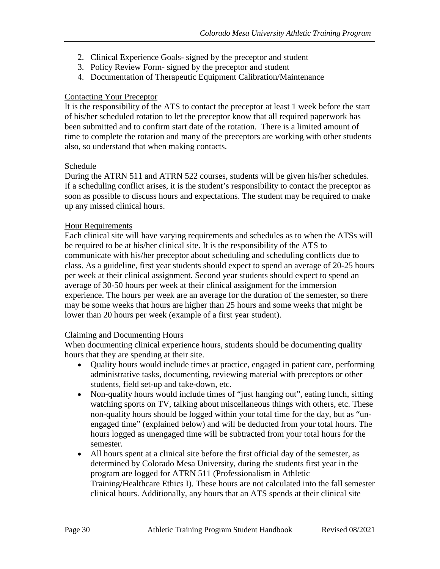- 2. Clinical Experience Goals- signed by the preceptor and student
- 3. Policy Review Form- signed by the preceptor and student
- 4. Documentation of Therapeutic Equipment Calibration/Maintenance

#### Contacting Your Preceptor

It is the responsibility of the ATS to contact the preceptor at least 1 week before the start of his/her scheduled rotation to let the preceptor know that all required paperwork has been submitted and to confirm start date of the rotation. There is a limited amount of time to complete the rotation and many of the preceptors are working with other students also, so understand that when making contacts.

#### Schedule

During the ATRN 511 and ATRN 522 courses, students will be given his/her schedules. If a scheduling conflict arises, it is the student's responsibility to contact the preceptor as soon as possible to discuss hours and expectations. The student may be required to make up any missed clinical hours.

#### Hour Requirements

Each clinical site will have varying requirements and schedules as to when the ATSs will be required to be at his/her clinical site. It is the responsibility of the ATS to communicate with his/her preceptor about scheduling and scheduling conflicts due to class. As a guideline, first year students should expect to spend an average of 20-25 hours per week at their clinical assignment. Second year students should expect to spend an average of 30-50 hours per week at their clinical assignment for the immersion experience. The hours per week are an average for the duration of the semester, so there may be some weeks that hours are higher than 25 hours and some weeks that might be lower than 20 hours per week (example of a first year student).

#### Claiming and Documenting Hours

When documenting clinical experience hours, students should be documenting quality hours that they are spending at their site.

- Quality hours would include times at practice, engaged in patient care, performing administrative tasks, documenting, reviewing material with preceptors or other students, field set-up and take-down, etc.
- Non-quality hours would include times of "just hanging out", eating lunch, sitting watching sports on TV, talking about miscellaneous things with others, etc. These non-quality hours should be logged within your total time for the day, but as "unengaged time" (explained below) and will be deducted from your total hours. The hours logged as unengaged time will be subtracted from your total hours for the semester.
- All hours spent at a clinical site before the first official day of the semester, as determined by Colorado Mesa University, during the students first year in the program are logged for ATRN 511 (Professionalism in Athletic Training/Healthcare Ethics I). These hours are not calculated into the fall semester clinical hours. Additionally, any hours that an ATS spends at their clinical site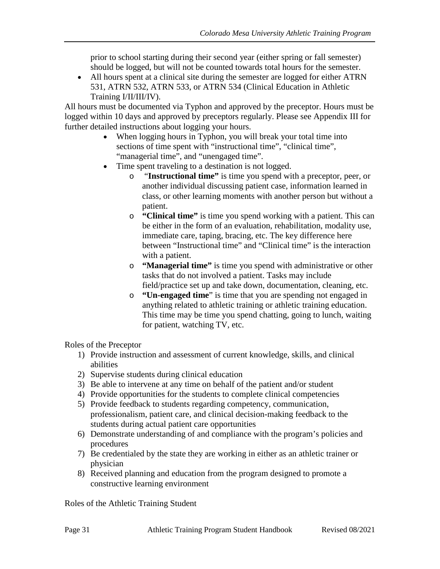prior to school starting during their second year (either spring or fall semester) should be logged, but will not be counted towards total hours for the semester.

• All hours spent at a clinical site during the semester are logged for either ATRN 531, ATRN 532, ATRN 533, or ATRN 534 (Clinical Education in Athletic Training I/II/III/IV).

All hours must be documented via Typhon and approved by the preceptor. Hours must be logged within 10 days and approved by preceptors regularly. Please see Appendix III for further detailed instructions about logging your hours.

- When logging hours in Typhon, you will break your total time into sections of time spent with "instructional time", "clinical time", "managerial time", and "unengaged time".
- Time spent traveling to a destination is not logged.
	- o "**Instructional time"** is time you spend with a preceptor, peer, or another individual discussing patient case, information learned in class, or other learning moments with another person but without a patient.
	- o **"Clinical time"** is time you spend working with a patient. This can be either in the form of an evaluation, rehabilitation, modality use, immediate care, taping, bracing, etc. The key difference here between "Instructional time" and "Clinical time" is the interaction with a patient.
	- o **"Managerial time"** is time you spend with administrative or other tasks that do not involved a patient. Tasks may include field/practice set up and take down, documentation, cleaning, etc.
	- o **"Un-engaged time**" is time that you are spending not engaged in anything related to athletic training or athletic training education. This time may be time you spend chatting, going to lunch, waiting for patient, watching TV, etc.

Roles of the Preceptor

- 1) Provide instruction and assessment of current knowledge, skills, and clinical abilities
- 2) Supervise students during clinical education
- 3) Be able to intervene at any time on behalf of the patient and/or student
- 4) Provide opportunities for the students to complete clinical competencies
- 5) Provide feedback to students regarding competency, communication, professionalism, patient care, and clinical decision-making feedback to the students during actual patient care opportunities
- 6) Demonstrate understanding of and compliance with the program's policies and procedures
- 7) Be credentialed by the state they are working in either as an athletic trainer or physician
- 8) Received planning and education from the program designed to promote a constructive learning environment

Roles of the Athletic Training Student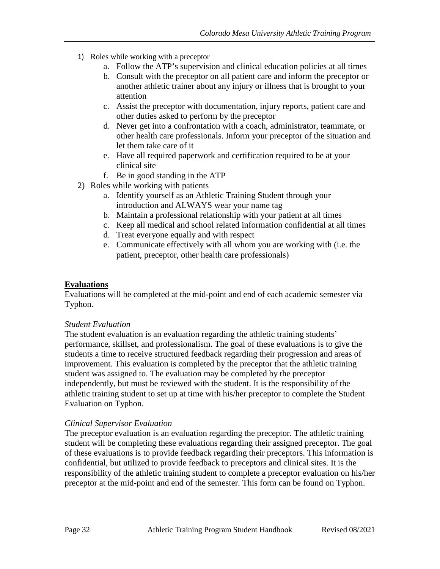- 1) Roles while working with a preceptor
	- a. Follow the ATP's supervision and clinical education policies at all times
	- b. Consult with the preceptor on all patient care and inform the preceptor or another athletic trainer about any injury or illness that is brought to your attention
	- c. Assist the preceptor with documentation, injury reports, patient care and other duties asked to perform by the preceptor
	- d. Never get into a confrontation with a coach, administrator, teammate, or other health care professionals. Inform your preceptor of the situation and let them take care of it
	- e. Have all required paperwork and certification required to be at your clinical site
	- f. Be in good standing in the ATP
- 2) Roles while working with patients
	- a. Identify yourself as an Athletic Training Student through your introduction and ALWAYS wear your name tag
	- b. Maintain a professional relationship with your patient at all times
	- c. Keep all medical and school related information confidential at all times
	- d. Treat everyone equally and with respect
	- e. Communicate effectively with all whom you are working with (i.e. the patient, preceptor, other health care professionals)

#### <span id="page-31-0"></span>**Evaluations**

Evaluations will be completed at the mid-point and end of each academic semester via Typhon.

#### *Student Evaluation*

The student evaluation is an evaluation regarding the athletic training students' performance, skillset, and professionalism. The goal of these evaluations is to give the students a time to receive structured feedback regarding their progression and areas of improvement. This evaluation is completed by the preceptor that the athletic training student was assigned to. The evaluation may be completed by the preceptor independently, but must be reviewed with the student. It is the responsibility of the athletic training student to set up at time with his/her preceptor to complete the Student Evaluation on Typhon.

#### *Clinical Supervisor Evaluation*

The preceptor evaluation is an evaluation regarding the preceptor. The athletic training student will be completing these evaluations regarding their assigned preceptor. The goal of these evaluations is to provide feedback regarding their preceptors. This information is confidential, but utilized to provide feedback to preceptors and clinical sites. It is the responsibility of the athletic training student to complete a preceptor evaluation on his/her preceptor at the mid-point and end of the semester. This form can be found on Typhon.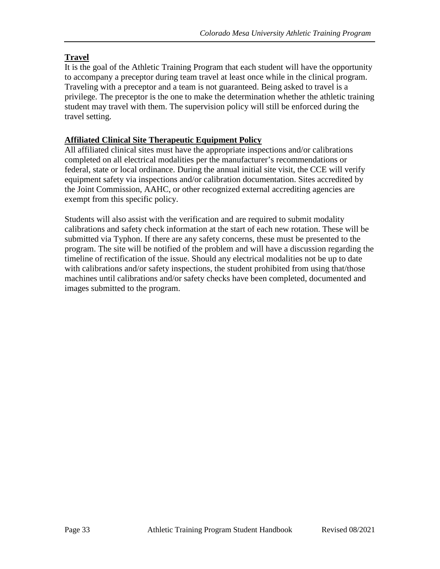### <span id="page-32-0"></span>**Travel**

It is the goal of the Athletic Training Program that each student will have the opportunity to accompany a preceptor during team travel at least once while in the clinical program. Traveling with a preceptor and a team is not guaranteed. Being asked to travel is a privilege. The preceptor is the one to make the determination whether the athletic training student may travel with them. The supervision policy will still be enforced during the travel setting.

#### <span id="page-32-1"></span>**Affiliated Clinical Site Therapeutic Equipment Policy**

All affiliated clinical sites must have the appropriate inspections and/or calibrations completed on all electrical modalities per the manufacturer's recommendations or federal, state or local ordinance. During the annual initial site visit, the CCE will verify equipment safety via inspections and/or calibration documentation. Sites accredited by the Joint Commission, AAHC, or other recognized external accrediting agencies are exempt from this specific policy.

Students will also assist with the verification and are required to submit modality calibrations and safety check information at the start of each new rotation. These will be submitted via Typhon. If there are any safety concerns, these must be presented to the program. The site will be notified of the problem and will have a discussion regarding the timeline of rectification of the issue. Should any electrical modalities not be up to date with calibrations and/or safety inspections, the student prohibited from using that/those machines until calibrations and/or safety checks have been completed, documented and images submitted to the program.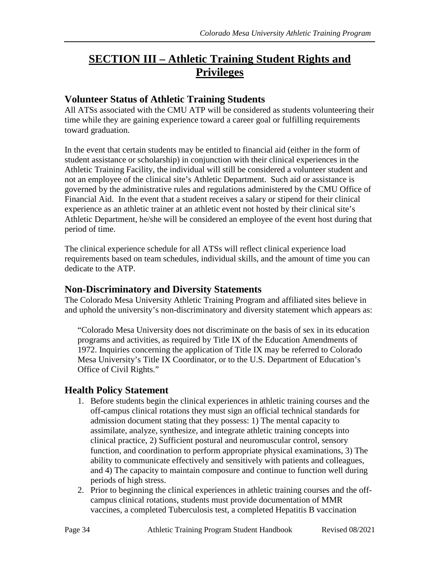# <span id="page-33-0"></span>**SECTION III – Athletic Training Student Rights and Privileges**

### <span id="page-33-1"></span>**Volunteer Status of Athletic Training Students**

All ATSs associated with the CMU ATP will be considered as students volunteering their time while they are gaining experience toward a career goal or fulfilling requirements toward graduation.

In the event that certain students may be entitled to financial aid (either in the form of student assistance or scholarship) in conjunction with their clinical experiences in the Athletic Training Facility, the individual will still be considered a volunteer student and not an employee of the clinical site's Athletic Department. Such aid or assistance is governed by the administrative rules and regulations administered by the CMU Office of Financial Aid. In the event that a student receives a salary or stipend for their clinical experience as an athletic trainer at an athletic event not hosted by their clinical site's Athletic Department, he/she will be considered an employee of the event host during that period of time.

The clinical experience schedule for all ATSs will reflect clinical experience load requirements based on team schedules, individual skills, and the amount of time you can dedicate to the ATP.

### <span id="page-33-2"></span>**Non-Discriminatory and Diversity Statements**

The Colorado Mesa University Athletic Training Program and affiliated sites believe in and uphold the university's non-discriminatory and diversity statement which appears as:

"Colorado Mesa University does not discriminate on the basis of sex in its education programs and activities, as required by Title IX of the Education Amendments of 1972. Inquiries concerning the application of Title IX may be referred to Colorado Mesa University's Title IX Coordinator, or to the U.S. Department of Education's Office of Civil Rights."

### <span id="page-33-3"></span>**Health Policy Statement**

- 1. Before students begin the clinical experiences in athletic training courses and the off-campus clinical rotations they must sign an official technical standards for admission document stating that they possess: 1) The mental capacity to assimilate, analyze, synthesize, and integrate athletic training concepts into clinical practice, 2) Sufficient postural and neuromuscular control, sensory function, and coordination to perform appropriate physical examinations, 3) The ability to communicate effectively and sensitively with patients and colleagues, and 4) The capacity to maintain composure and continue to function well during periods of high stress.
- 2. Prior to beginning the clinical experiences in athletic training courses and the offcampus clinical rotations, students must provide documentation of MMR vaccines, a completed Tuberculosis test, a completed Hepatitis B vaccination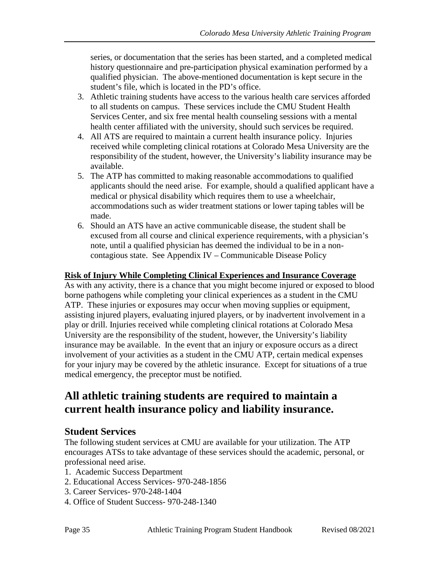series, or documentation that the series has been started, and a completed medical history questionnaire and pre-participation physical examination performed by a qualified physician. The above-mentioned documentation is kept secure in the student's file, which is located in the PD's office.

- 3. Athletic training students have access to the various health care services afforded to all students on campus. These services include the CMU Student Health Services Center, and six free mental health counseling sessions with a mental health center affiliated with the university, should such services be required.
- 4. All ATS are required to maintain a current health insurance policy. Injuries received while completing clinical rotations at Colorado Mesa University are the responsibility of the student, however, the University's liability insurance may be available.
- 5. The ATP has committed to making reasonable accommodations to qualified applicants should the need arise. For example, should a qualified applicant have a medical or physical disability which requires them to use a wheelchair, accommodations such as wider treatment stations or lower taping tables will be made.
- 6. Should an ATS have an active communicable disease, the student shall be excused from all course and clinical experience requirements, with a physician's note, until a qualified physician has deemed the individual to be in a noncontagious state. See Appendix IV – Communicable Disease Policy

### <span id="page-34-0"></span>**Risk of Injury While Completing Clinical Experiences and Insurance Coverage**

As with any activity, there is a chance that you might become injured or exposed to blood borne pathogens while completing your clinical experiences as a student in the CMU ATP. These injuries or exposures may occur when moving supplies or equipment, assisting injured players, evaluating injured players, or by inadvertent involvement in a play or drill. Injuries received while completing clinical rotations at Colorado Mesa University are the responsibility of the student, however, the University's liability insurance may be available. In the event that an injury or exposure occurs as a direct involvement of your activities as a student in the CMU ATP, certain medical expenses for your injury may be covered by the athletic insurance. Except for situations of a true medical emergency, the preceptor must be notified.

## **All athletic training students are required to maintain a current health insurance policy and liability insurance.**

### <span id="page-34-1"></span>**Student Services**

The following student services at CMU are available for your utilization. The ATP encourages ATSs to take advantage of these services should the academic, personal, or professional need arise.

- 1. Academic Success Department
- 2. Educational Access Services- 970-248-1856
- 3. Career Services- 970-248-1404
- 4. Office of Student Success- 970-248-1340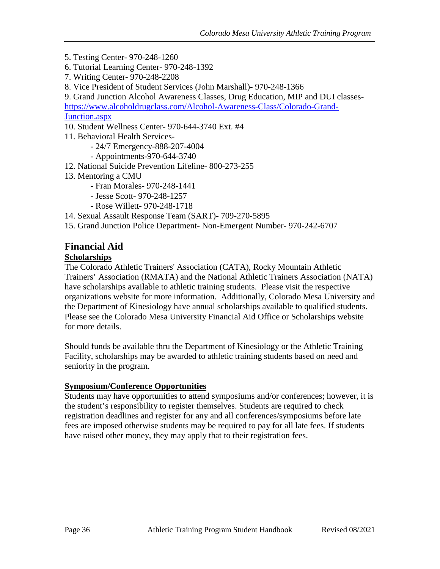5. Testing Center- 970-248-1260

- 6. Tutorial Learning Center- 970-248-1392
- 7. Writing Center- 970-248-2208
- 8. Vice President of Student Services (John Marshall)- 970-248-1366

9. Grand Junction Alcohol Awareness Classes, Drug Education, MIP and DUI classes[https://www.alcoholdrugclass.com/Alcohol-Awareness-Class/Colorado-Grand-](https://www.alcoholdrugclass.com/Alcohol-Awareness-Class/Colorado-Grand-Junction.aspx)

[Junction.aspx](https://www.alcoholdrugclass.com/Alcohol-Awareness-Class/Colorado-Grand-Junction.aspx)

- 10. Student Wellness Center- 970-644-3740 Ext. #4
- 11. Behavioral Health Services-
	- 24/7 Emergency-888-207-4004
	- Appointments-970-644-3740
- 12. National Suicide Prevention Lifeline- 800-273-255
- 13. Mentoring a CMU
	- Fran Morales- 970-248-1441
	- Jesse Scott- 970-248-1257
	- Rose Willett- 970-248-1718
- 14. Sexual Assault Response Team (SART)- 709-270-5895
- 15. Grand Junction Police Department- Non-Emergent Number- 970-242-6707

# <span id="page-35-0"></span>**Financial Aid**

### <span id="page-35-1"></span>**Scholarships**

The Colorado Athletic Trainers' Association (CATA), Rocky Mountain Athletic Trainers' Association (RMATA) and the National Athletic Trainers Association (NATA) have scholarships available to athletic training students. Please visit the respective organizations website for more information. Additionally, Colorado Mesa University and the Department of Kinesiology have annual scholarships available to qualified students. Please see the Colorado Mesa University Financial Aid Office or Scholarships website for more details.

Should funds be available thru the Department of Kinesiology or the Athletic Training Facility, scholarships may be awarded to athletic training students based on need and seniority in the program.

### <span id="page-35-2"></span>**Symposium/Conference Opportunities**

Students may have opportunities to attend symposiums and/or conferences; however, it is the student's responsibility to register themselves. Students are required to check registration deadlines and register for any and all conferences/symposiums before late fees are imposed otherwise students may be required to pay for all late fees. If students have raised other money, they may apply that to their registration fees.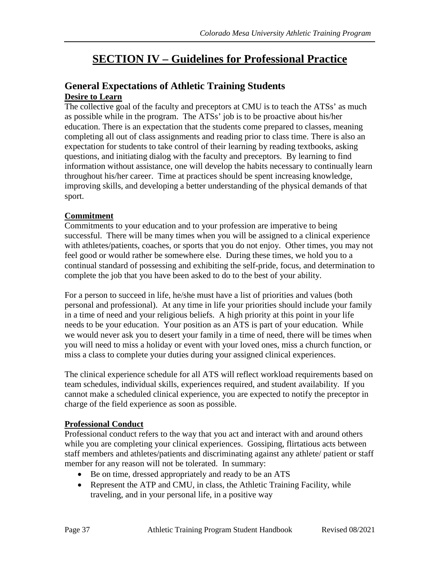# **SECTION IV – Guidelines for Professional Practice**

### <span id="page-36-1"></span><span id="page-36-0"></span>**General Expectations of Athletic Training Students Desire to Learn**

<span id="page-36-2"></span>The collective goal of the faculty and preceptors at CMU is to teach the ATSs' as much as possible while in the program. The ATSs' job is to be proactive about his/her education. There is an expectation that the students come prepared to classes, meaning completing all out of class assignments and reading prior to class time. There is also an expectation for students to take control of their learning by reading textbooks, asking questions, and initiating dialog with the faculty and preceptors. By learning to find information without assistance, one will develop the habits necessary to continually learn throughout his/her career. Time at practices should be spent increasing knowledge, improving skills, and developing a better understanding of the physical demands of that sport.

#### <span id="page-36-3"></span>**Commitment**

Commitments to your education and to your profession are imperative to being successful. There will be many times when you will be assigned to a clinical experience with athletes/patients, coaches, or sports that you do not enjoy. Other times, you may not feel good or would rather be somewhere else. During these times, we hold you to a continual standard of possessing and exhibiting the self-pride, focus, and determination to complete the job that you have been asked to do to the best of your ability.

For a person to succeed in life, he/she must have a list of priorities and values (both personal and professional). At any time in life your priorities should include your family in a time of need and your religious beliefs. A high priority at this point in your life needs to be your education. Your position as an ATS is part of your education. While we would never ask you to desert your family in a time of need, there will be times when you will need to miss a holiday or event with your loved ones, miss a church function, or miss a class to complete your duties during your assigned clinical experiences.

The clinical experience schedule for all ATS will reflect workload requirements based on team schedules, individual skills, experiences required, and student availability. If you cannot make a scheduled clinical experience, you are expected to notify the preceptor in charge of the field experience as soon as possible.

### <span id="page-36-4"></span>**Professional Conduct**

Professional conduct refers to the way that you act and interact with and around others while you are completing your clinical experiences. Gossiping, flirtatious acts between staff members and athletes/patients and discriminating against any athlete/ patient or staff member for any reason will not be tolerated. In summary:

- Be on time, dressed appropriately and ready to be an ATS
- Represent the ATP and CMU, in class, the Athletic Training Facility, while traveling, and in your personal life, in a positive way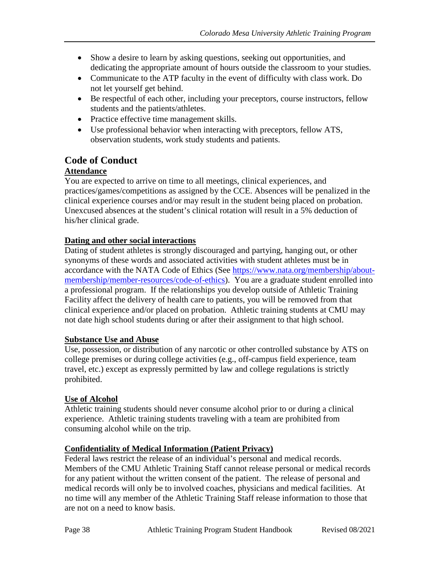- Show a desire to learn by asking questions, seeking out opportunities, and dedicating the appropriate amount of hours outside the classroom to your studies.
- Communicate to the ATP faculty in the event of difficulty with class work. Do not let yourself get behind.
- Be respectful of each other, including your preceptors, course instructors, fellow students and the patients/athletes.
- Practice effective time management skills.
- Use professional behavior when interacting with preceptors, fellow ATS, observation students, work study students and patients.

### <span id="page-37-0"></span>**Code of Conduct**

#### <span id="page-37-1"></span>**Attendance**

You are expected to arrive on time to all meetings, clinical experiences, and practices/games/competitions as assigned by the CCE. Absences will be penalized in the clinical experience courses and/or may result in the student being placed on probation. Unexcused absences at the student's clinical rotation will result in a 5% deduction of his/her clinical grade.

#### <span id="page-37-2"></span>**Dating and other social interactions**

Dating of student athletes is strongly discouraged and partying, hanging out, or other synonyms of these words and associated activities with student athletes must be in accordance with the NATA Code of Ethics (See [https://www.nata.org/membership/about](https://www.nata.org/membership/about-membership/member-resources/code-of-ethics)[membership/member-resources/code-of-ethics\)](https://www.nata.org/membership/about-membership/member-resources/code-of-ethics). You are a graduate student enrolled into a professional program. If the relationships you develop outside of Athletic Training Facility affect the delivery of health care to patients, you will be removed from that clinical experience and/or placed on probation. Athletic training students at CMU may not date high school students during or after their assignment to that high school.

#### <span id="page-37-3"></span>**Substance Use and Abuse**

Use, possession, or distribution of any narcotic or other controlled substance by ATS on college premises or during college activities (e.g., off-campus field experience, team travel, etc.) except as expressly permitted by law and college regulations is strictly prohibited.

#### <span id="page-37-4"></span>**Use of Alcohol**

Athletic training students should never consume alcohol prior to or during a clinical experience. Athletic training students traveling with a team are prohibited from consuming alcohol while on the trip.

### <span id="page-37-5"></span>**Confidentiality of Medical Information (Patient Privacy)**

Federal laws restrict the release of an individual's personal and medical records. Members of the CMU Athletic Training Staff cannot release personal or medical records for any patient without the written consent of the patient. The release of personal and medical records will only be to involved coaches, physicians and medical facilities. At no time will any member of the Athletic Training Staff release information to those that are not on a need to know basis.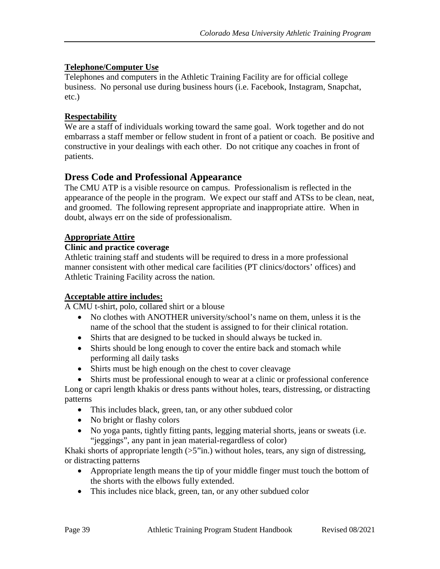#### <span id="page-38-0"></span>**Telephone/Computer Use**

Telephones and computers in the Athletic Training Facility are for official college business. No personal use during business hours (i.e. Facebook, Instagram, Snapchat, etc.)

#### <span id="page-38-1"></span>**Respectability**

We are a staff of individuals working toward the same goal. Work together and do not embarrass a staff member or fellow student in front of a patient or coach. Be positive and constructive in your dealings with each other. Do not critique any coaches in front of patients.

### <span id="page-38-2"></span>**Dress Code and Professional Appearance**

The CMU ATP is a visible resource on campus. Professionalism is reflected in the appearance of the people in the program. We expect our staff and ATSs to be clean, neat, and groomed. The following represent appropriate and inappropriate attire. When in doubt, always err on the side of professionalism.

#### <span id="page-38-3"></span>**Appropriate Attire**

#### **Clinic and practice coverage**

Athletic training staff and students will be required to dress in a more professional manner consistent with other medical care facilities (PT clinics/doctors' offices) and Athletic Training Facility across the nation.

#### **Acceptable attire includes:**

A CMU t-shirt, polo, collared shirt or a blouse

- No clothes with ANOTHER university/school's name on them, unless it is the name of the school that the student is assigned to for their clinical rotation.
- Shirts that are designed to be tucked in should always be tucked in.
- Shirts should be long enough to cover the entire back and stomach while performing all daily tasks
- Shirts must be high enough on the chest to cover cleavage

- This includes black, green, tan, or any other subdued color
- No bright or flashy colors
- No yoga pants, tightly fitting pants, legging material shorts, jeans or sweats (i.e. "jeggings", any pant in jean material-regardless of color)

Khaki shorts of appropriate length  $(55"$ in.) without holes, tears, any sign of distressing, or distracting patterns

- Appropriate length means the tip of your middle finger must touch the bottom of the shorts with the elbows fully extended.
- This includes nice black, green, tan, or any other subdued color

<sup>•</sup> Shirts must be professional enough to wear at a clinic or professional conference Long or capri length khakis or dress pants without holes, tears, distressing, or distracting patterns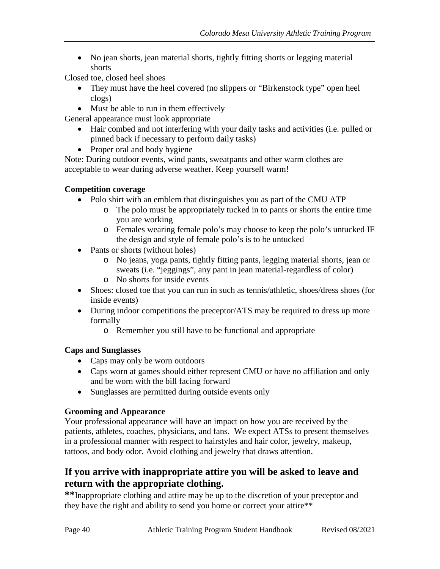• No jean shorts, jean material shorts, tightly fitting shorts or legging material shorts

Closed toe, closed heel shoes

- They must have the heel covered (no slippers or "Birkenstock type" open heel clogs)
- Must be able to run in them effectively

General appearance must look appropriate

- Hair combed and not interfering with your daily tasks and activities (i.e. pulled or pinned back if necessary to perform daily tasks)
- Proper oral and body hygiene

Note: During outdoor events, wind pants, sweatpants and other warm clothes are acceptable to wear during adverse weather. Keep yourself warm!

#### **Competition coverage**

- Polo shirt with an emblem that distinguishes you as part of the CMU ATP
	- o The polo must be appropriately tucked in to pants or shorts the entire time you are working
	- o Females wearing female polo's may choose to keep the polo's untucked IF the design and style of female polo's is to be untucked
- Pants or shorts (without holes)
	- o No jeans, yoga pants, tightly fitting pants, legging material shorts, jean or sweats (i.e. "jeggings", any pant in jean material-regardless of color)
	- o No shorts for inside events
- Shoes: closed toe that you can run in such as tennis/athletic, shoes/dress shoes (for inside events)
- During indoor competitions the preceptor/ATS may be required to dress up more formally
	- o Remember you still have to be functional and appropriate

#### **Caps and Sunglasses**

- Caps may only be worn outdoors
- Caps worn at games should either represent CMU or have no affiliation and only and be worn with the bill facing forward
- Sunglasses are permitted during outside events only

### **Grooming and Appearance**

Your professional appearance will have an impact on how you are received by the patients, athletes, coaches, physicians, and fans. We expect ATSs to present themselves in a professional manner with respect to hairstyles and hair color, jewelry, makeup, tattoos, and body odor. Avoid clothing and jewelry that draws attention.

### **If you arrive with inappropriate attire you will be asked to leave and return with the appropriate clothing.**

**\*\***Inappropriate clothing and attire may be up to the discretion of your preceptor and they have the right and ability to send you home or correct your attire\*\*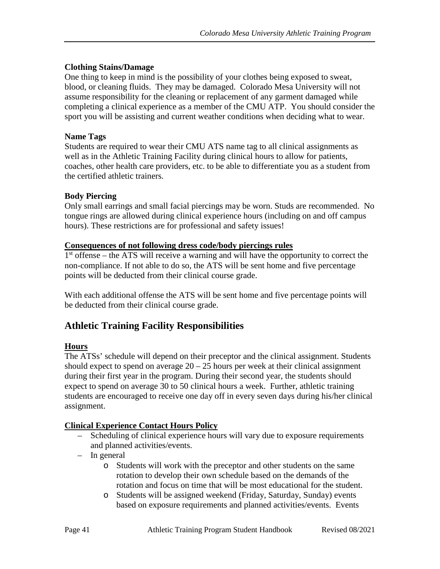#### **Clothing Stains/Damage**

One thing to keep in mind is the possibility of your clothes being exposed to sweat, blood, or cleaning fluids. They may be damaged. Colorado Mesa University will not assume responsibility for the cleaning or replacement of any garment damaged while completing a clinical experience as a member of the CMU ATP. You should consider the sport you will be assisting and current weather conditions when deciding what to wear.

#### **Name Tags**

Students are required to wear their CMU ATS name tag to all clinical assignments as well as in the Athletic Training Facility during clinical hours to allow for patients, coaches, other health care providers, etc. to be able to differentiate you as a student from the certified athletic trainers.

#### **Body Piercing**

Only small earrings and small facial piercings may be worn. Studs are recommended. No tongue rings are allowed during clinical experience hours (including on and off campus hours). These restrictions are for professional and safety issues!

#### <span id="page-40-0"></span>**Consequences of not following dress code/body piercings rules**

1<sup>st</sup> offense – the ATS will receive a warning and will have the opportunity to correct the non-compliance. If not able to do so, the ATS will be sent home and five percentage points will be deducted from their clinical course grade.

With each additional offense the ATS will be sent home and five percentage points will be deducted from their clinical course grade.

### <span id="page-40-1"></span>**Athletic Training Facility Responsibilities**

#### <span id="page-40-2"></span>**Hours**

The ATSs' schedule will depend on their preceptor and the clinical assignment. Students should expect to spend on average  $20 - 25$  hours per week at their clinical assignment during their first year in the program. During their second year, the students should expect to spend on average 30 to 50 clinical hours a week. Further, athletic training students are encouraged to receive one day off in every seven days during his/her clinical assignment.

#### <span id="page-40-3"></span>**Clinical Experience Contact Hours Policy**

- Scheduling of clinical experience hours will vary due to exposure requirements and planned activities/events.
- In general
	- o Students will work with the preceptor and other students on the same rotation to develop their own schedule based on the demands of the rotation and focus on time that will be most educational for the student.
	- o Students will be assigned weekend (Friday, Saturday, Sunday) events based on exposure requirements and planned activities/events. Events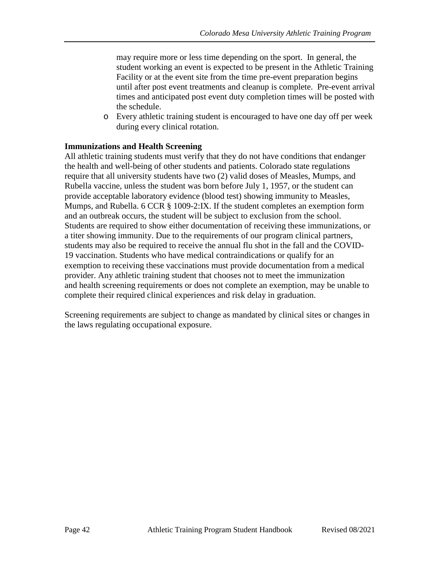may require more or less time depending on the sport. In general, the student working an event is expected to be present in the Athletic Training Facility or at the event site from the time pre-event preparation begins until after post event treatments and cleanup is complete. Pre-event arrival times and anticipated post event duty completion times will be posted with the schedule.

o Every athletic training student is encouraged to have one day off per week during every clinical rotation.

#### **Immunizations and Health Screening**

All athletic training students must verify that they do not have conditions that endanger the health and well-being of other students and patients. Colorado state regulations require that all university students have two (2) valid doses of Measles, Mumps, and Rubella vaccine, unless the student was born before July 1, 1957, or the student can provide acceptable laboratory evidence (blood test) showing immunity to Measles, Mumps, and Rubella. 6 CCR § 1009-2:IX. If the student completes an exemption form and an outbreak occurs, the student will be subject to exclusion from the school. Students are required to show either documentation of receiving these immunizations, or a titer showing immunity. Due to the requirements of our program clinical partners, students may also be required to receive the annual flu shot in the fall and the COVID-19 vaccination. Students who have medical contraindications or qualify for an exemption to receiving these vaccinations must provide documentation from a medical provider. Any athletic training student that chooses not to meet the immunization and health screening requirements or does not complete an exemption, may be unable to complete their required clinical experiences and risk delay in graduation.

Screening requirements are subject to change as mandated by clinical sites or changes in the laws regulating occupational exposure.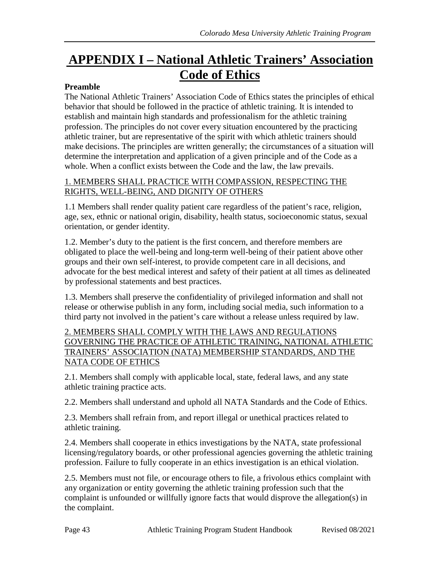# <span id="page-42-0"></span>**APPENDIX I – National Athletic Trainers' Association Code of Ethics**

#### **Preamble**

The National Athletic Trainers' Association Code of Ethics states the principles of ethical behavior that should be followed in the practice of athletic training. It is intended to establish and maintain high standards and professionalism for the athletic training profession. The principles do not cover every situation encountered by the practicing athletic trainer, but are representative of the spirit with which athletic trainers should make decisions. The principles are written generally; the circumstances of a situation will determine the interpretation and application of a given principle and of the Code as a whole. When a conflict exists between the Code and the law, the law prevails.

#### 1. MEMBERS SHALL PRACTICE WITH COMPASSION, RESPECTING THE RIGHTS, WELL-BEING, AND DIGNITY OF OTHERS

1.1 Members shall render quality patient care regardless of the patient's race, religion, age, sex, ethnic or national origin, disability, health status, socioeconomic status, sexual orientation, or gender identity.

1.2. Member's duty to the patient is the first concern, and therefore members are obligated to place the well-being and long-term well-being of their patient above other groups and their own self-interest, to provide competent care in all decisions, and advocate for the best medical interest and safety of their patient at all times as delineated by professional statements and best practices.

1.3. Members shall preserve the confidentiality of privileged information and shall not release or otherwise publish in any form, including social media, such information to a third party not involved in the patient's care without a release unless required by law.

#### 2. MEMBERS SHALL COMPLY WITH THE LAWS AND REGULATIONS GOVERNING THE PRACTICE OF ATHLETIC TRAINING, NATIONAL ATHLETIC TRAINERS' ASSOCIATION (NATA) MEMBERSHIP STANDARDS, AND THE NATA CODE OF ETHICS

2.1. Members shall comply with applicable local, state, federal laws, and any state athletic training practice acts.

2.2. Members shall understand and uphold all NATA Standards and the Code of Ethics.

2.3. Members shall refrain from, and report illegal or unethical practices related to athletic training.

2.4. Members shall cooperate in ethics investigations by the NATA, state professional licensing/regulatory boards, or other professional agencies governing the athletic training profession. Failure to fully cooperate in an ethics investigation is an ethical violation.

2.5. Members must not file, or encourage others to file, a frivolous ethics complaint with any organization or entity governing the athletic training profession such that the complaint is unfounded or willfully ignore facts that would disprove the allegation(s) in the complaint.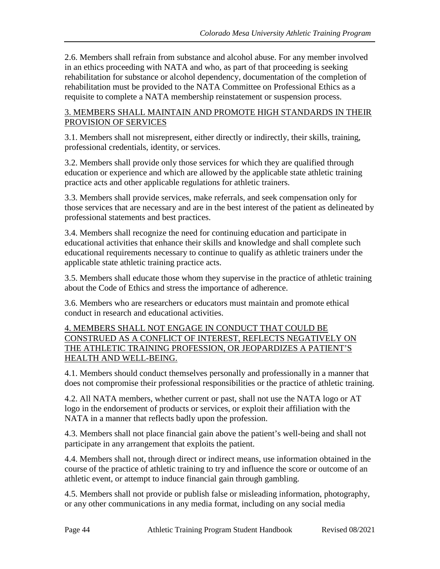2.6. Members shall refrain from substance and alcohol abuse. For any member involved in an ethics proceeding with NATA and who, as part of that proceeding is seeking rehabilitation for substance or alcohol dependency, documentation of the completion of rehabilitation must be provided to the NATA Committee on Professional Ethics as a requisite to complete a NATA membership reinstatement or suspension process.

#### 3. MEMBERS SHALL MAINTAIN AND PROMOTE HIGH STANDARDS IN THEIR PROVISION OF SERVICES

3.1. Members shall not misrepresent, either directly or indirectly, their skills, training, professional credentials, identity, or services.

3.2. Members shall provide only those services for which they are qualified through education or experience and which are allowed by the applicable state athletic training practice acts and other applicable regulations for athletic trainers.

3.3. Members shall provide services, make referrals, and seek compensation only for those services that are necessary and are in the best interest of the patient as delineated by professional statements and best practices.

3.4. Members shall recognize the need for continuing education and participate in educational activities that enhance their skills and knowledge and shall complete such educational requirements necessary to continue to qualify as athletic trainers under the applicable state athletic training practice acts.

3.5. Members shall educate those whom they supervise in the practice of athletic training about the Code of Ethics and stress the importance of adherence.

3.6. Members who are researchers or educators must maintain and promote ethical conduct in research and educational activities.

#### 4. MEMBERS SHALL NOT ENGAGE IN CONDUCT THAT COULD BE CONSTRUED AS A CONFLICT OF INTEREST, REFLECTS NEGATIVELY ON THE ATHLETIC TRAINING PROFESSION, OR JEOPARDIZES A PATIENT'S HEALTH AND WELL-BEING.

4.1. Members should conduct themselves personally and professionally in a manner that does not compromise their professional responsibilities or the practice of athletic training.

4.2. All NATA members, whether current or past, shall not use the NATA logo or AT logo in the endorsement of products or services, or exploit their affiliation with the NATA in a manner that reflects badly upon the profession.

4.3. Members shall not place financial gain above the patient's well-being and shall not participate in any arrangement that exploits the patient.

4.4. Members shall not, through direct or indirect means, use information obtained in the course of the practice of athletic training to try and influence the score or outcome of an athletic event, or attempt to induce financial gain through gambling.

4.5. Members shall not provide or publish false or misleading information, photography, or any other communications in any media format, including on any social media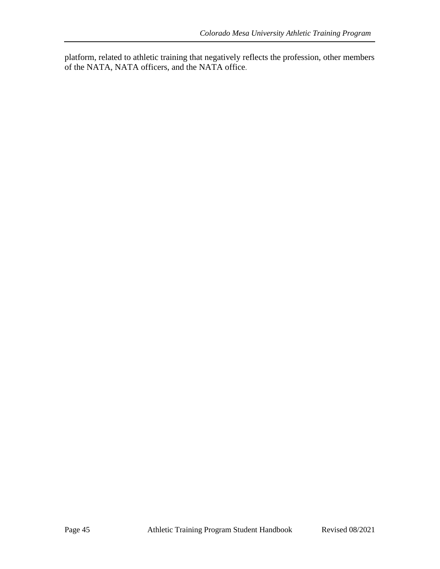platform, related to athletic training that negatively reflects the profession, other members of the NATA, NATA officers, and the NATA office.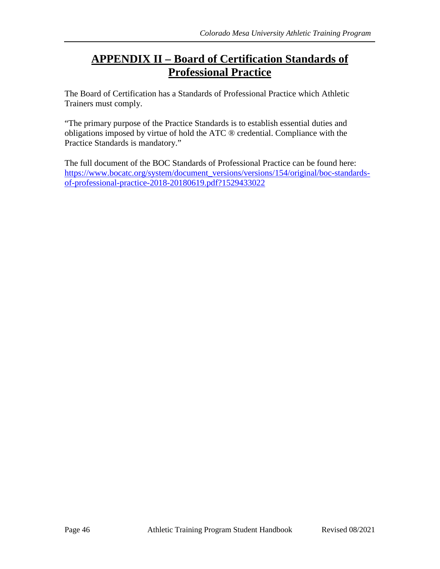# <span id="page-45-0"></span>**APPENDIX II – Board of Certification Standards of Professional Practice**

The Board of Certification has a Standards of Professional Practice which Athletic Trainers must comply.

"The primary purpose of the Practice Standards is to establish essential duties and obligations imposed by virtue of hold the ATC ® credential. Compliance with the Practice Standards is mandatory."

The full document of the BOC Standards of Professional Practice can be found here: [https://www.bocatc.org/system/document\\_versions/versions/154/original/boc-standards](https://www.bocatc.org/system/document_versions/versions/154/original/boc-standards-of-professional-practice-2018-20180619.pdf?1529433022)[of-professional-practice-2018-20180619.pdf?1529433022](https://www.bocatc.org/system/document_versions/versions/154/original/boc-standards-of-professional-practice-2018-20180619.pdf?1529433022)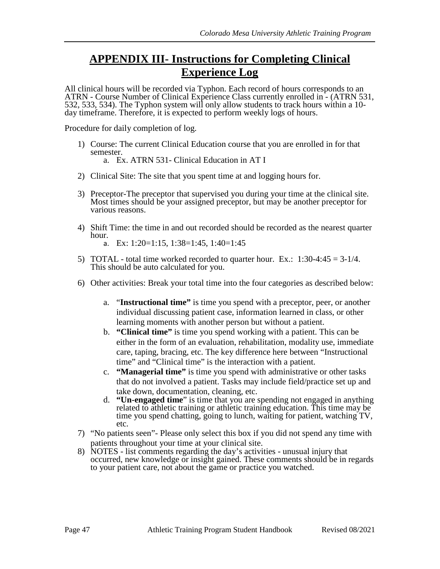# <span id="page-46-0"></span>**APPENDIX III- Instructions for Completing Clinical Experience Log**

All clinical hours will be recorded via Typhon. Each record of hours corresponds to an ATRN - Course Number of Clinical Experience Class currently enrolled in - (ATRN 531, 532, 533, 534). The Typhon system will only allow students to track hours within a 10- day timeframe. Therefore, it is expected to perform weekly logs of hours.

Procedure for daily completion of log.

- 1) Course: The current Clinical Education course that you are enrolled in for that semester. a. Ex. ATRN 531- Clinical Education in AT I
- 2) Clinical Site: The site that you spent time at and logging hours for.
- 3) Preceptor-The preceptor that supervised you during your time at the clinical site. Most times should be your assigned preceptor, but may be another preceptor for various reasons.
- 4) Shift Time: the time in and out recorded should be recorded as the nearest quarter hour.
	- a. Ex: 1:20=1:15, 1:38=1:45, 1:40=1:45
- 5) TOTAL total time worked recorded to quarter hour. Ex.:  $1:30-4:45 = 3-1/4$ .<br>This should be auto calculated for you.
- 6) Other activities: Break your total time into the four categories as described below:
	- a. "**Instructional time"** is time you spend with a preceptor, peer, or another individual discussing patient case, information learned in class, or other learning moments with another person but without a patient.
	- b. **"Clinical time"** is time you spend working with a patient. This can be either in the form of an evaluation, rehabilitation, modality use, immediate care, taping, bracing, etc. The key difference here between "Instructional time" and "Clinical time" is the interaction with a patient.
	- c. **"Managerial time"** is time you spend with administrative or other tasks that do not involved a patient. Tasks may include field/practice set up and take down, documentation, cleaning, etc.
	- d. **"Un-engaged time**" is time that you are spending not engaged in anything related to athletic training or athletic training education. This time may be time you spend chatting, going to lunch, waiting for patient, watching TV, etc.
- 7) "No patients seen"- Please only select this box if you did not spend any time with patients throughout your time at your clinical site.
- 8) NOTES list comments regarding the day's activities unusual injury that occurred, new knowledge or insight gained. These comments should be in regards to your patient care, not about the game or practice you watched.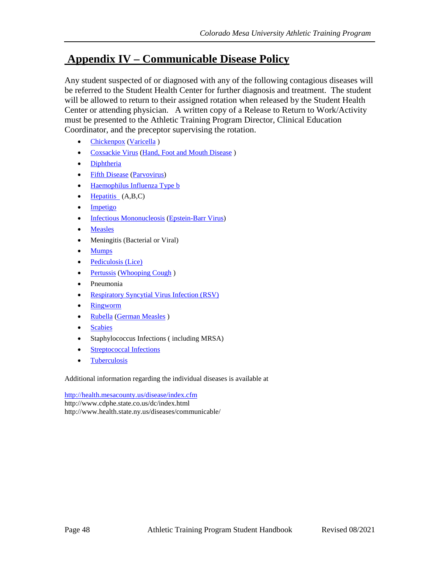## <span id="page-47-0"></span>**Appendix IV – Communicable Disease Policy**

Any student suspected of or diagnosed with any of the following contagious diseases will be referred to the Student Health Center for further diagnosis and treatment. The student will be allowed to return to their assigned rotation when released by the Student Health Center or attending physician. A written copy of a Release to Return to Work/Activity must be presented to the Athletic Training Program Director, Clinical Education Coordinator, and the preceptor supervising the rotation.

- [Chickenpox](http://www.health.state.ny.us/diseases/communicable/chickenpox/fact_sheet.htm) [\(Varicella](http://www.health.state.ny.us/diseases/communicable/chickenpox/fact_sheet.htm))
- [Coxsackie Virus](http://www.health.state.ny.us/diseases/communicable/hand_foot_mouth/fact_sheet.htm) [\(Hand, Foot and Mouth Disease](http://www.health.state.ny.us/diseases/communicable/hand_foot_mouth/fact_sheet.htm) )
- [Diphtheria](http://www.health.state.ny.us/diseases/communicable/diphtheria/fact_sheet.htm)
- [Fifth Disease](http://www.health.state.ny.us/diseases/communicable/fifth/fact_sheet.htm) [\(Parvovirus\)](http://www.health.state.ny.us/diseases/communicable/fifth/fact_sheet.htm)
- [Haemophilus Influenza Type b](http://www.health.state.ny.us/diseases/communicable/haemophilus_influenzae/fact_sheet.htm)
- [Hepatitis](http://www.health.state.ny.us/diseases/communicable/hepatitis/hepatitis_a/fact_sheet.htm)  $(A,B,C)$
- [Impetigo](http://www.health.state.ny.us/diseases/communicable/impetigo/fact_sheet.htm)
- [Infectious Mononucleosis](http://www.health.state.ny.us/diseases/communicable/mononucleosis/fact_sheet.htm) [\(Epstein-Barr Virus\)](http://www.health.state.ny.us/diseases/communicable/mononucleosis/fact_sheet.htm)
- [Measles](http://www.health.state.ny.us/diseases/communicable/measles/fact_sheet.htm)
- Meningitis (Bacterial or Viral)
- [Mumps](http://www.health.state.ny.us/diseases/communicable/mumps/fact_sheet.htm)
- [Pediculosis \(Lice\)](http://www.health.state.ny.us/diseases/communicable/pediculosis/fact_sheet.htm)
- [Pertussis](http://www.health.state.ny.us/diseases/communicable/pertussis/fact_sheet.htm) [\(Whooping Cough](http://www.health.state.ny.us/diseases/communicable/pertussis/fact_sheet.htm))
- Pneumonia
- [Respiratory Syncytial Virus Infection \(RSV\)](http://www.health.state.ny.us/diseases/communicable/respiratory_syncytial_virus/fact_sheet.htm)
- [Ringworm](http://www.health.state.ny.us/diseases/communicable/ringworm/fact_sheet.htm)
- [Rubella](http://www.health.state.ny.us/diseases/communicable/rubella/fact_sheet.htm) [\(German Measles](http://www.health.state.ny.us/diseases/communicable/rubella/fact_sheet.htm) )
- [Scabies](http://www.health.state.ny.us/diseases/communicable/scabies/fact_sheet.htm)
- Staphylococcus Infections (including MRSA)
- [Streptococcal Infections](http://www.health.state.ny.us/diseases/communicable/streptococcal/group_a/fact_sheet.htm)
- [Tuberculosis](http://www.health.state.ny.us/diseases/communicable/tuberculosis/fact_sheet.htm)

Additional information regarding the individual diseases is available at

<http://health.mesacounty.us/disease/index.cfm> http://www.cdphe.state.co.us/dc/index.html http://www.health.state.ny.us/diseases/communicable/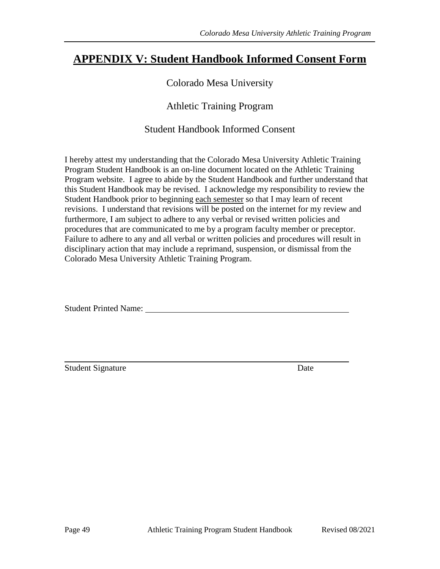## <span id="page-48-0"></span>**APPENDIX V: Student Handbook Informed Consent Form**

### Colorado Mesa University

### Athletic Training Program

### Student Handbook Informed Consent

I hereby attest my understanding that the Colorado Mesa University Athletic Training Program Student Handbook is an on-line document located on the Athletic Training Program website. I agree to abide by the Student Handbook and further understand that this Student Handbook may be revised. I acknowledge my responsibility to review the Student Handbook prior to beginning each semester so that I may learn of recent revisions. I understand that revisions will be posted on the internet for my review and furthermore, I am subject to adhere to any verbal or revised written policies and procedures that are communicated to me by a program faculty member or preceptor. Failure to adhere to any and all verbal or written policies and procedures will result in disciplinary action that may include a reprimand, suspension, or dismissal from the Colorado Mesa University Athletic Training Program.

Student Printed Name:

Student Signature Date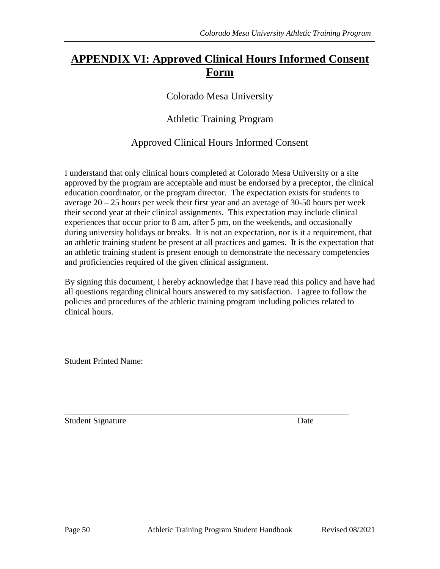# <span id="page-49-0"></span>**APPENDIX VI: Approved Clinical Hours Informed Consent Form**

Colorado Mesa University

Athletic Training Program

Approved Clinical Hours Informed Consent

I understand that only clinical hours completed at Colorado Mesa University or a site approved by the program are acceptable and must be endorsed by a preceptor, the clinical education coordinator, or the program director. The expectation exists for students to average 20 – 25 hours per week their first year and an average of 30-50 hours per week their second year at their clinical assignments. This expectation may include clinical experiences that occur prior to 8 am, after 5 pm, on the weekends, and occasionally during university holidays or breaks. It is not an expectation, nor is it a requirement, that an athletic training student be present at all practices and games. It is the expectation that an athletic training student is present enough to demonstrate the necessary competencies and proficiencies required of the given clinical assignment.

By signing this document, I hereby acknowledge that I have read this policy and have had all questions regarding clinical hours answered to my satisfaction. I agree to follow the policies and procedures of the athletic training program including policies related to clinical hours.

Student Printed Name:

Student Signature Date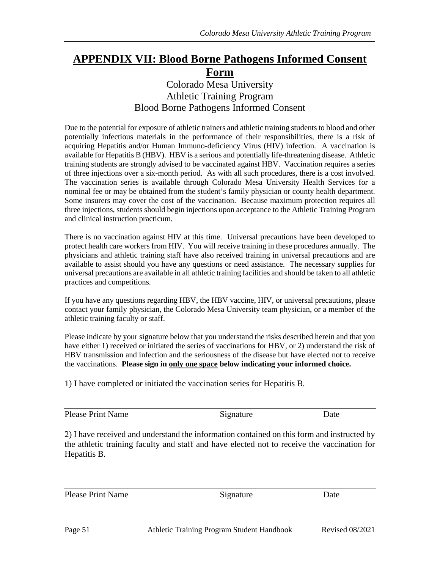## <span id="page-50-0"></span>**APPENDIX VII: Blood Borne Pathogens Informed Consent Form**

## Colorado Mesa University Athletic Training Program Blood Borne Pathogens Informed Consent

Due to the potential for exposure of athletic trainers and athletic training students to blood and other potentially infectious materials in the performance of their responsibilities, there is a risk of acquiring Hepatitis and/or Human Immuno-deficiency Virus (HIV) infection. A vaccination is available for Hepatitis B (HBV). HBV is a serious and potentially life-threatening disease. Athletic training students are strongly advised to be vaccinated against HBV. Vaccination requires a series of three injections over a six-month period. As with all such procedures, there is a cost involved. The vaccination series is available through Colorado Mesa University Health Services for a nominal fee or may be obtained from the student's family physician or county health department. Some insurers may cover the cost of the vaccination. Because maximum protection requires all three injections, students should begin injections upon acceptance to the Athletic Training Program and clinical instruction practicum.

There is no vaccination against HIV at this time. Universal precautions have been developed to protect health care workers from HIV. You will receive training in these procedures annually. The physicians and athletic training staff have also received training in universal precautions and are available to assist should you have any questions or need assistance. The necessary supplies for universal precautions are available in all athletic training facilities and should be taken to all athletic practices and competitions.

If you have any questions regarding HBV, the HBV vaccine, HIV, or universal precautions, please contact your family physician, the Colorado Mesa University team physician, or a member of the athletic training faculty or staff.

Please indicate by your signature below that you understand the risks described herein and that you have either 1) received or initiated the series of vaccinations for HBV, or 2) understand the risk of HBV transmission and infection and the seriousness of the disease but have elected not to receive the vaccinations. **Please sign in only one space below indicating your informed choice.**

1) I have completed or initiated the vaccination series for Hepatitis B.

Please Print Name Signature Date

2) I have received and understand the information contained on this form and instructed by the athletic training faculty and staff and have elected not to receive the vaccination for Hepatitis B.

Please Print Name Signature Date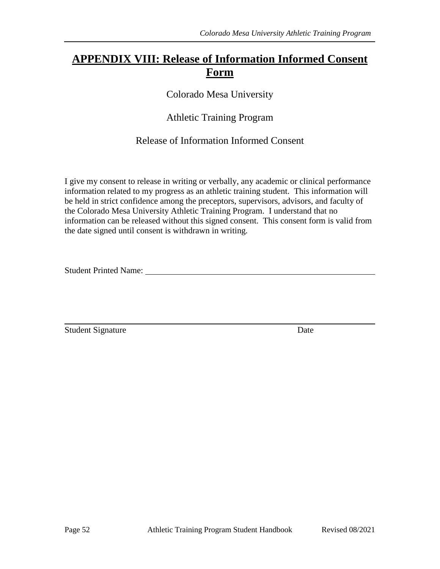## <span id="page-51-0"></span>**APPENDIX VIII: Release of Information Informed Consent Form**

Colorado Mesa University

Athletic Training Program

Release of Information Informed Consent

I give my consent to release in writing or verbally, any academic or clinical performance information related to my progress as an athletic training student. This information will be held in strict confidence among the preceptors, supervisors, advisors, and faculty of the Colorado Mesa University Athletic Training Program. I understand that no information can be released without this signed consent. This consent form is valid from the date signed until consent is withdrawn in writing.

Student Printed Name: Name: Name: Name: Name: Name: Name: Name: Name: Name: Name: Name: Name: Name: Name: Name: Name: Name: Name: Name: Name: Name: Name: Name: Name: Name: Name: Name: Name: Name: Name: Name: Name: Name: Na

Student Signature Date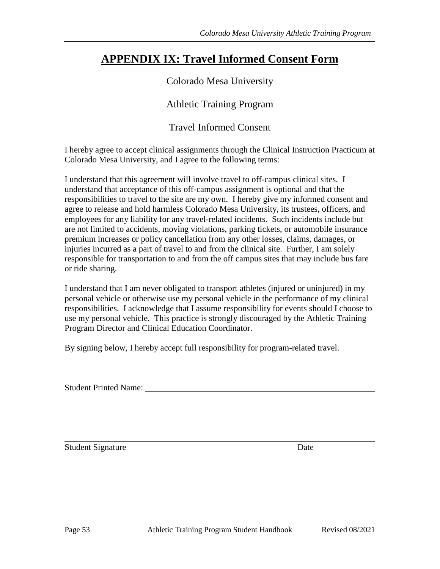# <span id="page-52-0"></span>**APPENDIX IX: Travel Informed Consent Form**

### Colorado Mesa University

Athletic Training Program

Travel Informed Consent

I hereby agree to accept clinical assignments through the Clinical Instruction Practicum at Colorado Mesa University, and I agree to the following terms:

I understand that this agreement will involve travel to off-campus clinical sites. I understand that acceptance of this off-campus assignment is optional and that the responsibilities to travel to the site are my own. I hereby give my informed consent and agree to release and hold harmless Colorado Mesa University, its trustees, officers, and employees for any liability for any travel-related incidents. Such incidents include but are not limited to accidents, moving violations, parking tickets, or automobile insurance premium increases or policy cancellation from any other losses, claims, damages, or injuries incurred as a part of travel to and from the clinical site. Further, I am solely responsible for transportation to and from the off campus sites that may include bus fare or ride sharing.

I understand that I am never obligated to transport athletes (injured or uninjured) in my personal vehicle or otherwise use my personal vehicle in the performance of my clinical responsibilities. I acknowledge that I assume responsibility for events should I choose to use my personal vehicle. This practice is strongly discouraged by the Athletic Training Program Director and Clinical Education Coordinator.

By signing below, I hereby accept full responsibility for program-related travel.

Student Printed Name:

Student Signature Date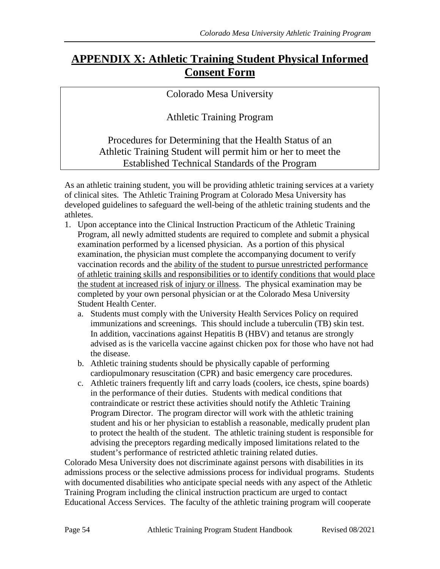## <span id="page-53-0"></span>**APPENDIX X: Athletic Training Student Physical Informed Consent Form**

### Colorado Mesa University

Athletic Training Program

Procedures for Determining that the Health Status of an Athletic Training Student will permit him or her to meet the Established Technical Standards of the Program

As an athletic training student, you will be providing athletic training services at a variety of clinical sites. The Athletic Training Program at Colorado Mesa University has developed guidelines to safeguard the well-being of the athletic training students and the athletes.

- 1. Upon acceptance into the Clinical Instruction Practicum of the Athletic Training Program, all newly admitted students are required to complete and submit a physical examination performed by a licensed physician. As a portion of this physical examination, the physician must complete the accompanying document to verify vaccination records and the ability of the student to pursue unrestricted performance of athletic training skills and responsibilities or to identify conditions that would place the student at increased risk of injury or illness. The physical examination may be completed by your own personal physician or at the Colorado Mesa University Student Health Center.
	- a. Students must comply with the University Health Services Policy on required immunizations and screenings. This should include a tuberculin (TB) skin test. In addition, vaccinations against Hepatitis B (HBV) and tetanus are strongly advised as is the varicella vaccine against chicken pox for those who have not had the disease.
	- b. Athletic training students should be physically capable of performing cardiopulmonary resuscitation (CPR) and basic emergency care procedures.
	- c. Athletic trainers frequently lift and carry loads (coolers, ice chests, spine boards) in the performance of their duties. Students with medical conditions that contraindicate or restrict these activities should notify the Athletic Training Program Director. The program director will work with the athletic training student and his or her physician to establish a reasonable, medically prudent plan to protect the health of the student. The athletic training student is responsible for advising the preceptors regarding medically imposed limitations related to the student's performance of restricted athletic training related duties.

Colorado Mesa University does not discriminate against persons with disabilities in its admissions process or the selective admissions process for individual programs. Students with documented disabilities who anticipate special needs with any aspect of the Athletic Training Program including the clinical instruction practicum are urged to contact Educational Access Services. The faculty of the athletic training program will cooperate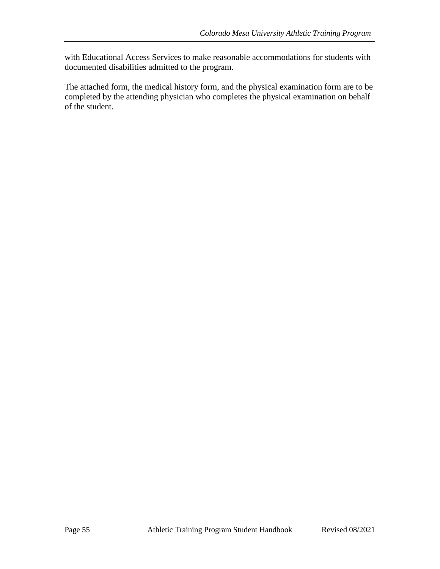with Educational Access Services to make reasonable accommodations for students with documented disabilities admitted to the program.

The attached form, the medical history form, and the physical examination form are to be completed by the attending physician who completes the physical examination on behalf of the student.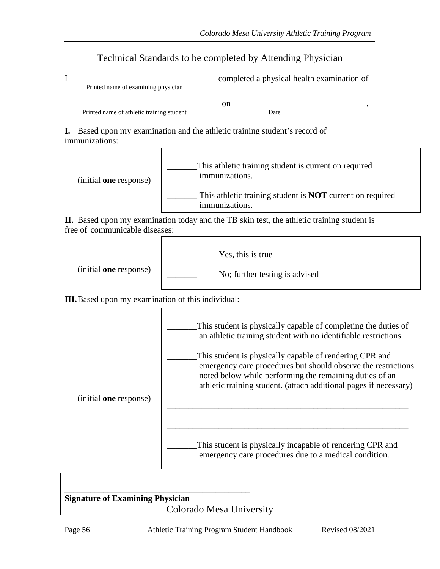### Technical Standards to be completed by Attending Physician

|                                     | completed a physical health examination of |
|-------------------------------------|--------------------------------------------|
| Printed name of examining physician |                                            |

 $\qquad \qquad \text{on}$   $\qquad \qquad \qquad \qquad \qquad \qquad \text{on}$   $\qquad \qquad \qquad \qquad \qquad \qquad \text{on}$ Printed name of athletic training student Date

**I.** Based upon my examination and the athletic training student's record of immunizations:



**II.** Based upon my examination today and the TB skin test, the athletic training student is free of communicable diseases:



**III.**Based upon my examination of this individual:



#### **\_\_\_\_\_\_\_\_\_\_\_\_\_\_\_\_\_\_\_\_\_\_\_\_\_\_\_\_\_\_\_\_\_\_\_\_\_\_\_\_\_\_\_ Signature of Examining Physician** Colorado Mesa University

Page 56 Athletic Training Program Student Handbook Revised 08/2021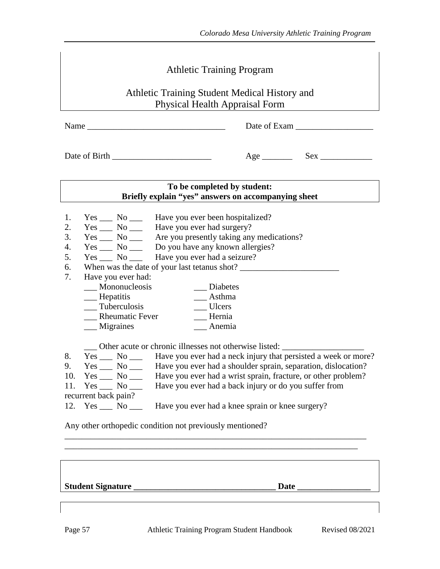*Colorado Mesa University Athletic Training Program*

|                                                               | <b>Athletic Training Program</b>                                                     |                        |                                                                                      |  |  |
|---------------------------------------------------------------|--------------------------------------------------------------------------------------|------------------------|--------------------------------------------------------------------------------------|--|--|
|                                                               |                                                                                      |                        | Athletic Training Student Medical History and                                        |  |  |
|                                                               |                                                                                      |                        | <b>Physical Health Appraisal Form</b>                                                |  |  |
|                                                               |                                                                                      |                        |                                                                                      |  |  |
|                                                               |                                                                                      |                        |                                                                                      |  |  |
|                                                               |                                                                                      |                        |                                                                                      |  |  |
|                                                               |                                                                                      |                        |                                                                                      |  |  |
|                                                               |                                                                                      |                        |                                                                                      |  |  |
|                                                               |                                                                                      |                        | To be completed by student:                                                          |  |  |
|                                                               |                                                                                      |                        | Briefly explain "yes" answers on accompanying sheet                                  |  |  |
|                                                               |                                                                                      |                        |                                                                                      |  |  |
| 1.                                                            |                                                                                      |                        | Yes ______ No ________ Have you ever been hospitalized?                              |  |  |
| 2.                                                            |                                                                                      |                        | Yes ______ No ________ Have you ever had surgery?                                    |  |  |
| 3.                                                            |                                                                                      |                        | Yes ______ No _______ Are you presently taking any medications?                      |  |  |
| 4.                                                            |                                                                                      |                        | Yes ______ No _______ Do you have any known allergies?                               |  |  |
| 5.                                                            |                                                                                      |                        | Yes ______ No _______ Have you ever had a seizure?                                   |  |  |
| 6.                                                            |                                                                                      |                        | When was the date of your last tetanus shot?                                         |  |  |
| 7.                                                            |                                                                                      | Have you ever had:     |                                                                                      |  |  |
|                                                               |                                                                                      | $\equiv$ Mononucleosis | __ Diabetes                                                                          |  |  |
| __ Hepatitis<br>__ Asthma                                     |                                                                                      |                        |                                                                                      |  |  |
| $\sqrt{\frac{1}{1}}$ Tuberculosis<br>__ Ulcers                |                                                                                      |                        |                                                                                      |  |  |
| <b>Rheumatic Fever</b><br>$\equiv$ Hernia<br><b>Migraines</b> |                                                                                      |                        |                                                                                      |  |  |
|                                                               |                                                                                      |                        | $\_\_\$ Anemia                                                                       |  |  |
|                                                               |                                                                                      |                        | Other acute or chronic illnesses not otherwise listed:                               |  |  |
| 8.                                                            |                                                                                      |                        | Yes ______ No _______ Have you ever had a neck injury that persisted a week or more? |  |  |
| 9.                                                            | Yes $\_$                                                                             |                        | No _____ Have you ever had a shoulder sprain, separation, dislocation?               |  |  |
| 10.                                                           | Yes ______ No ________ Have you ever had a wrist sprain, fracture, or other problem? |                        |                                                                                      |  |  |
| 11.                                                           | Yes ______ No ________ Have you ever had a back injury or do you suffer from         |                        |                                                                                      |  |  |
|                                                               | recurrent back pain?                                                                 |                        |                                                                                      |  |  |
|                                                               |                                                                                      |                        | 12. Yes ___ No ___ Have you ever had a knee sprain or knee surgery?                  |  |  |
|                                                               |                                                                                      |                        | Any other orthopedic condition not previously mentioned?                             |  |  |
|                                                               |                                                                                      |                        |                                                                                      |  |  |
|                                                               |                                                                                      |                        |                                                                                      |  |  |

**Student Signature \_\_\_\_\_\_\_\_\_\_\_\_\_\_\_\_\_\_\_\_\_\_\_\_\_\_\_\_\_\_\_\_\_ Date \_\_\_\_\_\_\_\_\_\_\_\_\_\_\_\_\_**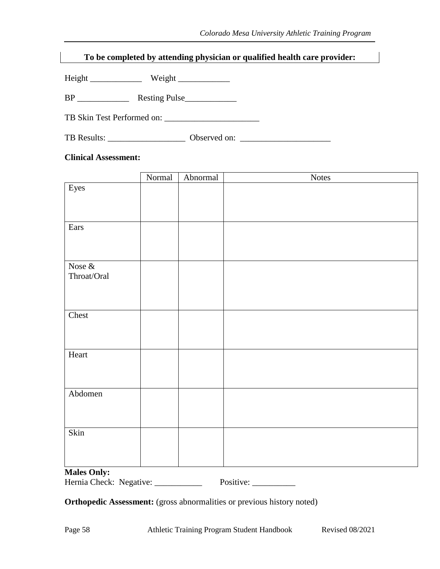### **To be completed by attending physician or qualified health care provider:**

Height \_\_\_\_\_\_\_\_\_\_\_\_ Weight \_\_\_\_\_\_\_\_\_\_\_\_

BP \_\_\_\_\_\_\_\_\_\_\_\_ Resting Pulse\_\_\_\_\_\_\_\_\_\_\_\_

TB Skin Test Performed on: \_\_\_\_\_\_\_\_\_\_\_\_\_\_\_\_\_\_\_\_\_\_

TB Results: \_\_\_\_\_\_\_\_\_\_\_\_\_\_\_\_\_\_\_\_\_\_\_\_\_ Observed on: \_\_\_\_\_\_\_\_\_\_\_\_\_\_\_\_\_\_\_\_\_\_\_\_\_\_\_\_\_

#### **Clinical Assessment:**

|                          | Normal | Abnormal | <b>Notes</b> |
|--------------------------|--------|----------|--------------|
| Eyes                     |        |          |              |
|                          |        |          |              |
|                          |        |          |              |
|                          |        |          |              |
| Ears                     |        |          |              |
|                          |        |          |              |
|                          |        |          |              |
|                          |        |          |              |
| Nose $\&$<br>Throat/Oral |        |          |              |
|                          |        |          |              |
|                          |        |          |              |
|                          |        |          |              |
| Chest                    |        |          |              |
|                          |        |          |              |
|                          |        |          |              |
|                          |        |          |              |
| Heart                    |        |          |              |
|                          |        |          |              |
|                          |        |          |              |
|                          |        |          |              |
| Abdomen                  |        |          |              |
|                          |        |          |              |
|                          |        |          |              |
| Skin                     |        |          |              |
|                          |        |          |              |
|                          |        |          |              |
|                          |        |          |              |
| Molog Only:              |        |          |              |

#### **Males Only:**

Hernia Check: Negative: \_\_\_\_\_\_\_\_\_\_\_\_ Positive: \_\_\_\_\_\_\_\_\_\_

**Orthopedic Assessment:** (gross abnormalities or previous history noted)

Page 58 Athletic Training Program Student Handbook Revised 08/2021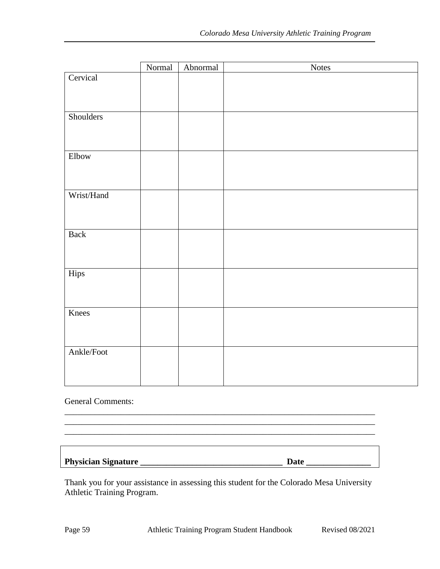|             | Normal | Abnormal | <b>Notes</b> |
|-------------|--------|----------|--------------|
| Cervical    |        |          |              |
|             |        |          |              |
|             |        |          |              |
| Shoulders   |        |          |              |
|             |        |          |              |
|             |        |          |              |
|             |        |          |              |
| Elbow       |        |          |              |
|             |        |          |              |
|             |        |          |              |
| Wrist/Hand  |        |          |              |
|             |        |          |              |
|             |        |          |              |
| <b>Back</b> |        |          |              |
|             |        |          |              |
|             |        |          |              |
| Hips        |        |          |              |
|             |        |          |              |
|             |        |          |              |
|             |        |          |              |
| Knees       |        |          |              |
|             |        |          |              |
|             |        |          |              |
| Ankle/Foot  |        |          |              |
|             |        |          |              |
|             |        |          |              |
|             |        |          |              |

#### General Comments:

### **Physician Signature \_\_\_\_\_\_\_\_\_\_\_\_\_\_\_\_\_\_\_\_\_\_\_\_\_\_\_\_\_\_\_\_\_ Date \_\_\_\_\_\_\_\_\_\_\_\_\_\_\_**

Thank you for your assistance in assessing this student for the Colorado Mesa University Athletic Training Program.

\_\_\_\_\_\_\_\_\_\_\_\_\_\_\_\_\_\_\_\_\_\_\_\_\_\_\_\_\_\_\_\_\_\_\_\_\_\_\_\_\_\_\_\_\_\_\_\_\_\_\_\_\_\_\_\_\_\_\_\_\_\_\_\_\_\_\_\_\_\_\_\_ \_\_\_\_\_\_\_\_\_\_\_\_\_\_\_\_\_\_\_\_\_\_\_\_\_\_\_\_\_\_\_\_\_\_\_\_\_\_\_\_\_\_\_\_\_\_\_\_\_\_\_\_\_\_\_\_\_\_\_\_\_\_\_\_\_\_\_\_\_\_\_\_ \_\_\_\_\_\_\_\_\_\_\_\_\_\_\_\_\_\_\_\_\_\_\_\_\_\_\_\_\_\_\_\_\_\_\_\_\_\_\_\_\_\_\_\_\_\_\_\_\_\_\_\_\_\_\_\_\_\_\_\_\_\_\_\_\_\_\_\_\_\_\_\_